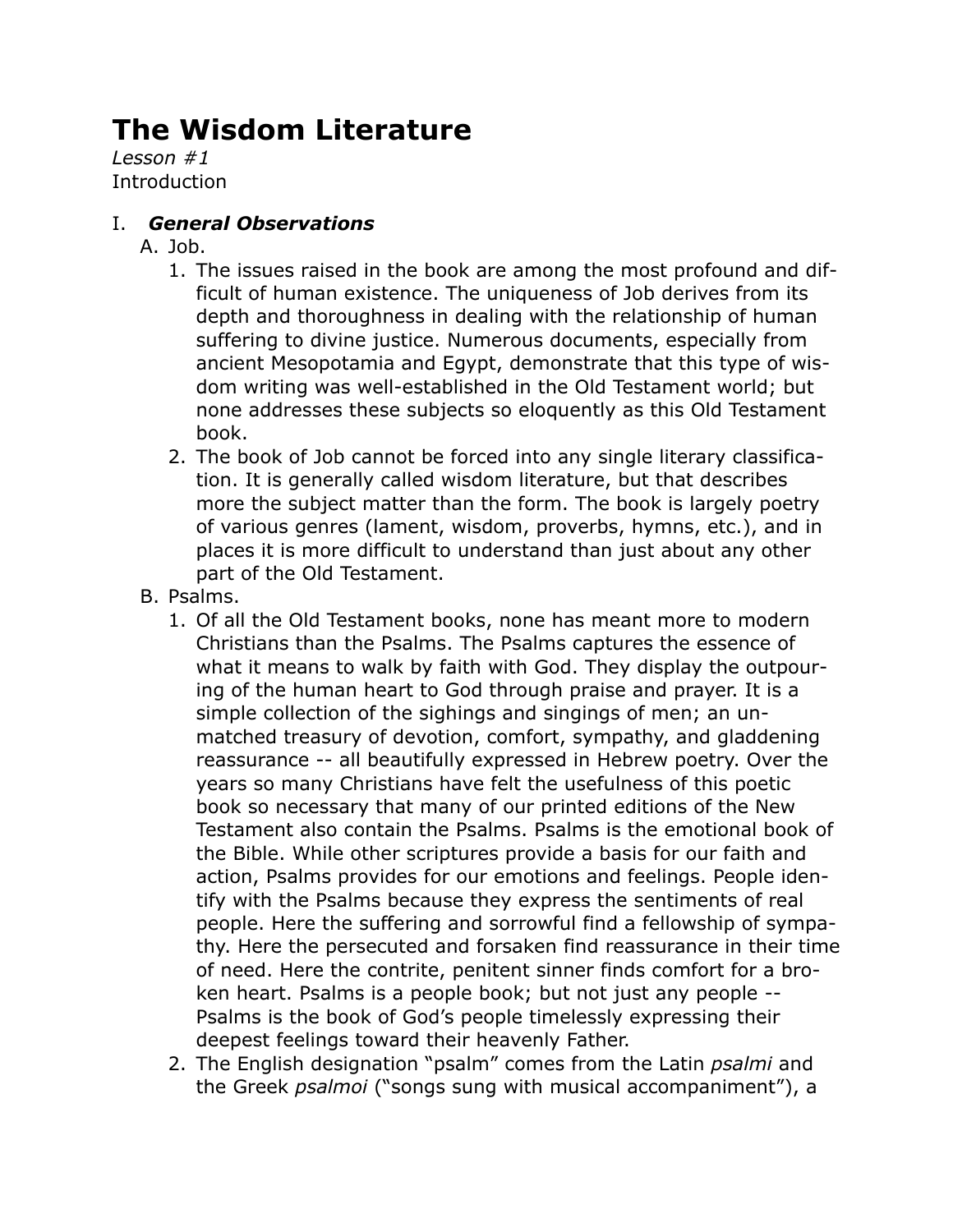# **The Wisdom Literature**

*Lesson #1* **Introduction** 

## I. *General Observations*

- A. Job.
	- 1. The issues raised in the book are among the most profound and difficult of human existence. The uniqueness of Job derives from its depth and thoroughness in dealing with the relationship of human suffering to divine justice. Numerous documents, especially from ancient Mesopotamia and Egypt, demonstrate that this type of wisdom writing was well-established in the Old Testament world; but none addresses these subjects so eloquently as this Old Testament book.
	- 2. The book of Job cannot be forced into any single literary classification. It is generally called wisdom literature, but that describes more the subject matter than the form. The book is largely poetry of various genres (lament, wisdom, proverbs, hymns, etc.), and in places it is more difficult to understand than just about any other part of the Old Testament.
- B. Psalms.
	- 1. Of all the Old Testament books, none has meant more to modern Christians than the Psalms. The Psalms captures the essence of what it means to walk by faith with God. They display the outpouring of the human heart to God through praise and prayer. It is a simple collection of the sighings and singings of men; an unmatched treasury of devotion, comfort, sympathy, and gladdening reassurance -- all beautifully expressed in Hebrew poetry. Over the years so many Christians have felt the usefulness of this poetic book so necessary that many of our printed editions of the New Testament also contain the Psalms. Psalms is the emotional book of the Bible. While other scriptures provide a basis for our faith and action, Psalms provides for our emotions and feelings. People identify with the Psalms because they express the sentiments of real people. Here the suffering and sorrowful find a fellowship of sympathy. Here the persecuted and forsaken find reassurance in their time of need. Here the contrite, penitent sinner finds comfort for a broken heart. Psalms is a people book; but not just any people -- Psalms is the book of God's people timelessly expressing their deepest feelings toward their heavenly Father.
	- 2. The English designation "psalm" comes from the Latin *psalmi* and the Greek *psalmoi* ("songs sung with musical accompaniment"), a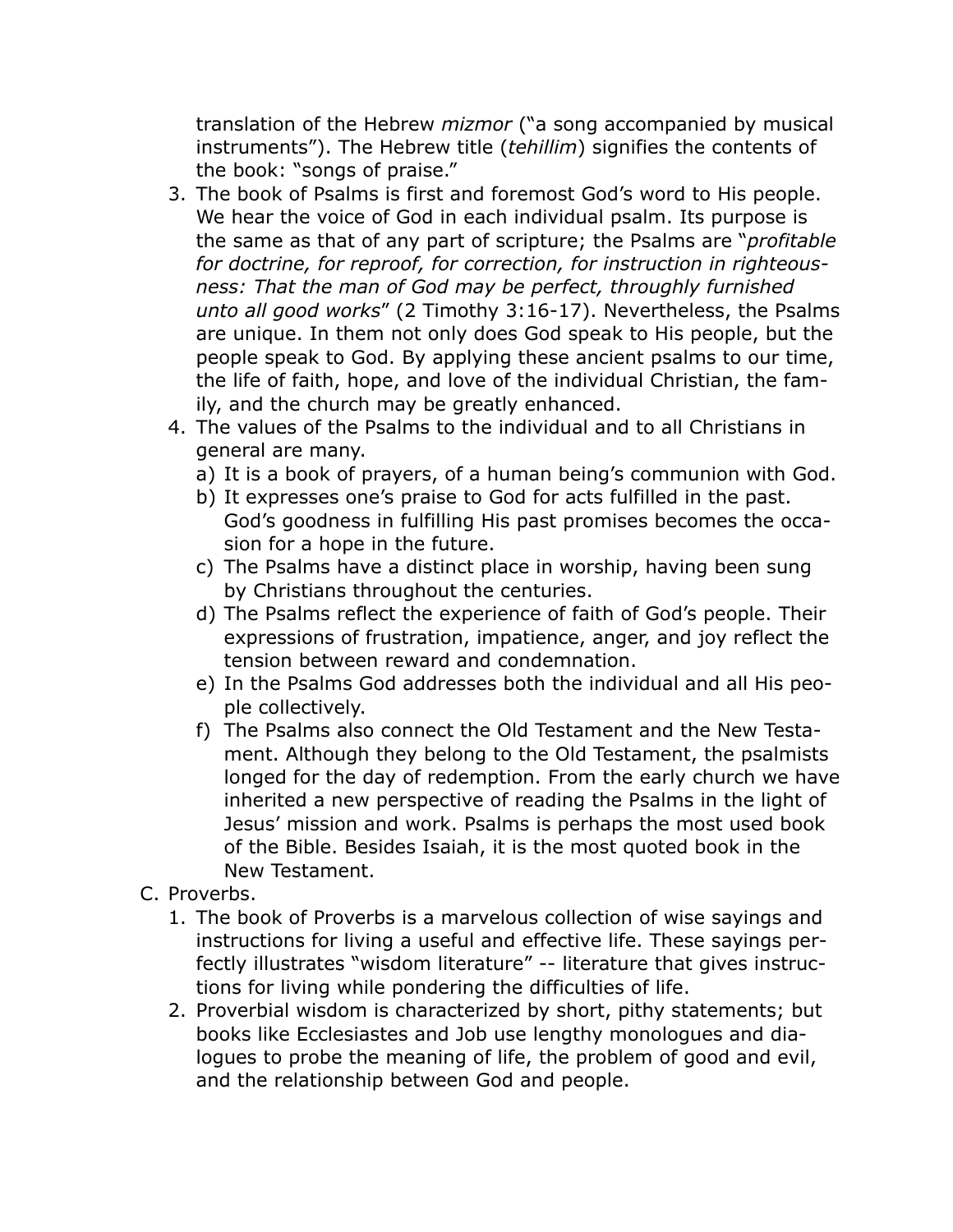translation of the Hebrew *mizmor* ("a song accompanied by musical instruments"). The Hebrew title (*tehillim*) signifies the contents of the book: "songs of praise."

- 3. The book of Psalms is first and foremost God's word to His people. We hear the voice of God in each individual psalm. Its purpose is the same as that of any part of scripture; the Psalms are "*profitable for doctrine, for reproof, for correction, for instruction in righteousness: That the man of God may be perfect, throughly furnished unto all good works*" (2 Timothy 3:16-17). Nevertheless, the Psalms are unique. In them not only does God speak to His people, but the people speak to God. By applying these ancient psalms to our time, the life of faith, hope, and love of the individual Christian, the family, and the church may be greatly enhanced.
- 4. The values of the Psalms to the individual and to all Christians in general are many.
	- a) It is a book of prayers, of a human being's communion with God.
	- b) It expresses one's praise to God for acts fulfilled in the past. God's goodness in fulfilling His past promises becomes the occasion for a hope in the future.
	- c) The Psalms have a distinct place in worship, having been sung by Christians throughout the centuries.
	- d) The Psalms reflect the experience of faith of God's people. Their expressions of frustration, impatience, anger, and joy reflect the tension between reward and condemnation.
	- e) In the Psalms God addresses both the individual and all His people collectively.
	- f) The Psalms also connect the Old Testament and the New Testament. Although they belong to the Old Testament, the psalmists longed for the day of redemption. From the early church we have inherited a new perspective of reading the Psalms in the light of Jesus' mission and work. Psalms is perhaps the most used book of the Bible. Besides Isaiah, it is the most quoted book in the New Testament.
- C. Proverbs.
	- 1. The book of Proverbs is a marvelous collection of wise sayings and instructions for living a useful and effective life. These sayings perfectly illustrates "wisdom literature" -- literature that gives instructions for living while pondering the difficulties of life.
	- 2. Proverbial wisdom is characterized by short, pithy statements; but books like Ecclesiastes and Job use lengthy monologues and dialogues to probe the meaning of life, the problem of good and evil, and the relationship between God and people.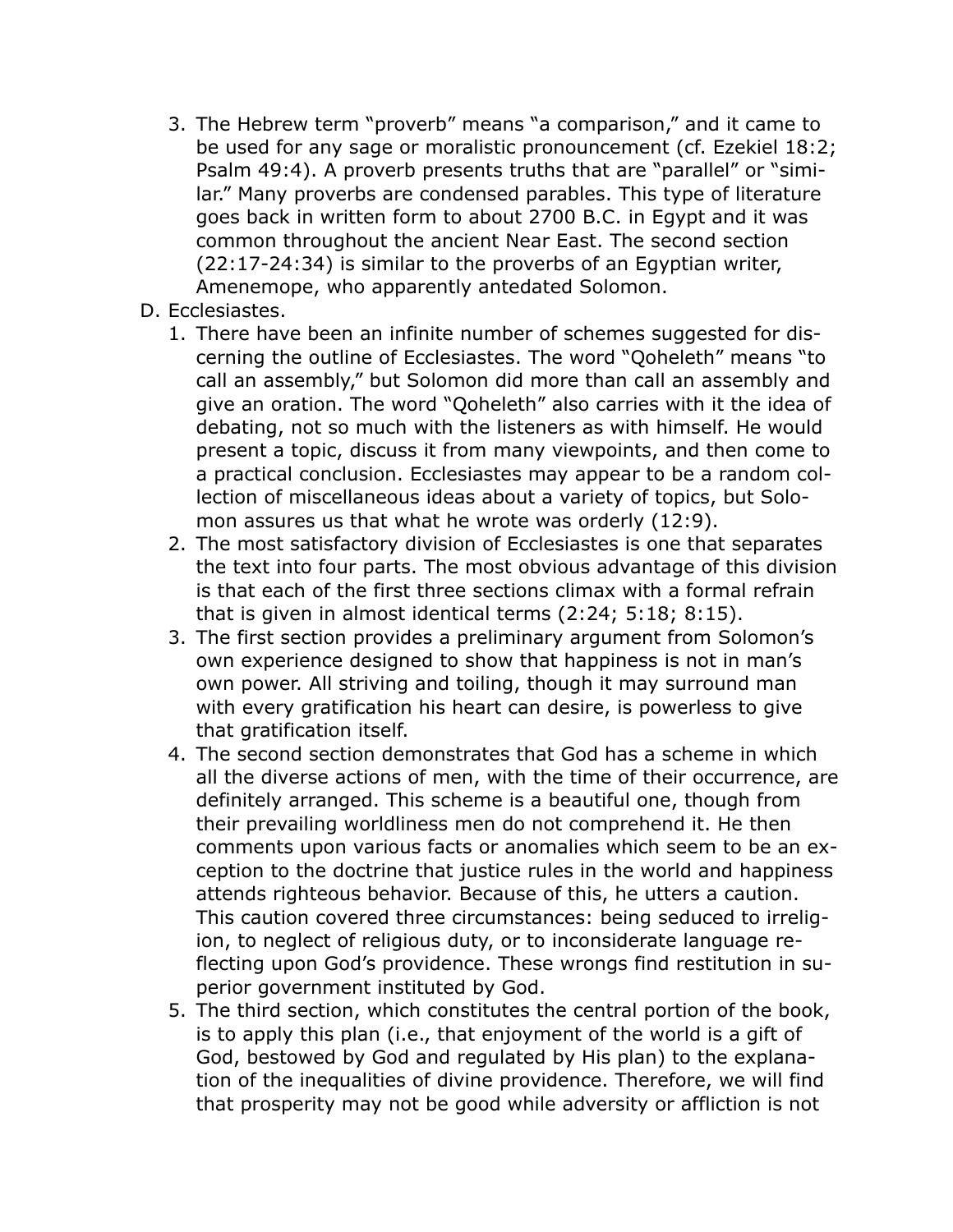- 3. The Hebrew term "proverb" means "a comparison," and it came to be used for any sage or moralistic pronouncement (cf. Ezekiel 18:2; Psalm 49:4). A proverb presents truths that are "parallel" or "similar." Many proverbs are condensed parables. This type of literature goes back in written form to about 2700 B.C. in Egypt and it was common throughout the ancient Near East. The second section (22:17-24:34) is similar to the proverbs of an Egyptian writer, Amenemope, who apparently antedated Solomon.
- D. Ecclesiastes.
	- 1. There have been an infinite number of schemes suggested for discerning the outline of Ecclesiastes. The word "Qoheleth" means "to call an assembly," but Solomon did more than call an assembly and give an oration. The word "Qoheleth" also carries with it the idea of debating, not so much with the listeners as with himself. He would present a topic, discuss it from many viewpoints, and then come to a practical conclusion. Ecclesiastes may appear to be a random collection of miscellaneous ideas about a variety of topics, but Solomon assures us that what he wrote was orderly (12:9).
	- 2. The most satisfactory division of Ecclesiastes is one that separates the text into four parts. The most obvious advantage of this division is that each of the first three sections climax with a formal refrain that is given in almost identical terms (2:24; 5:18; 8:15).
	- 3. The first section provides a preliminary argument from Solomon's own experience designed to show that happiness is not in man's own power. All striving and toiling, though it may surround man with every gratification his heart can desire, is powerless to give that gratification itself.
	- 4. The second section demonstrates that God has a scheme in which all the diverse actions of men, with the time of their occurrence, are definitely arranged. This scheme is a beautiful one, though from their prevailing worldliness men do not comprehend it. He then comments upon various facts or anomalies which seem to be an exception to the doctrine that justice rules in the world and happiness attends righteous behavior. Because of this, he utters a caution. This caution covered three circumstances: being seduced to irreligion, to neglect of religious duty, or to inconsiderate language reflecting upon God's providence. These wrongs find restitution in superior government instituted by God.
	- 5. The third section, which constitutes the central portion of the book, is to apply this plan (i.e., that enjoyment of the world is a gift of God, bestowed by God and regulated by His plan) to the explanation of the inequalities of divine providence. Therefore, we will find that prosperity may not be good while adversity or affliction is not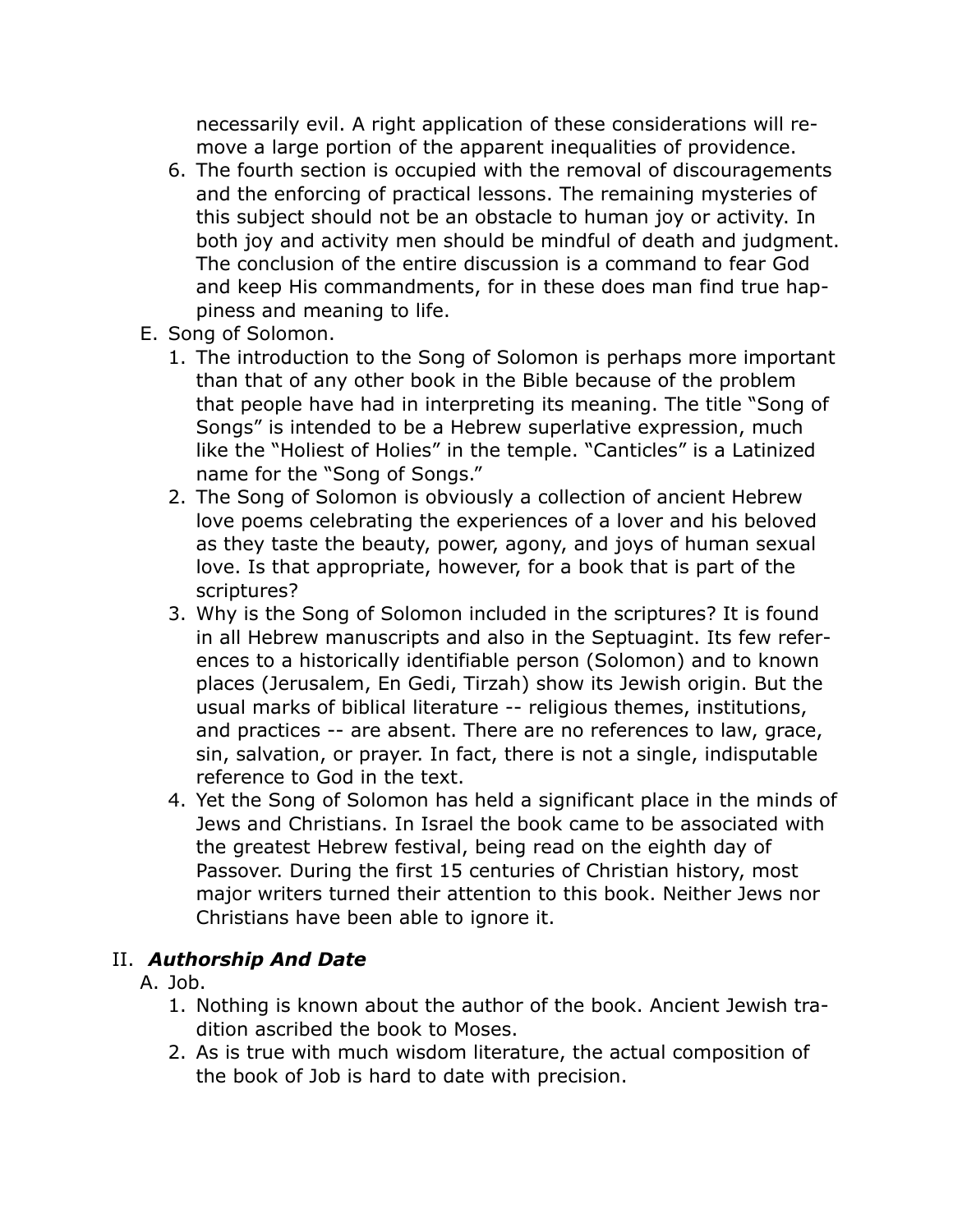necessarily evil. A right application of these considerations will remove a large portion of the apparent inequalities of providence.

- 6. The fourth section is occupied with the removal of discouragements and the enforcing of practical lessons. The remaining mysteries of this subject should not be an obstacle to human joy or activity. In both joy and activity men should be mindful of death and judgment. The conclusion of the entire discussion is a command to fear God and keep His commandments, for in these does man find true happiness and meaning to life.
- E. Song of Solomon.
	- 1. The introduction to the Song of Solomon is perhaps more important than that of any other book in the Bible because of the problem that people have had in interpreting its meaning. The title "Song of Songs" is intended to be a Hebrew superlative expression, much like the "Holiest of Holies" in the temple. "Canticles" is a Latinized name for the "Song of Songs."
	- 2. The Song of Solomon is obviously a collection of ancient Hebrew love poems celebrating the experiences of a lover and his beloved as they taste the beauty, power, agony, and joys of human sexual love. Is that appropriate, however, for a book that is part of the scriptures?
	- 3. Why is the Song of Solomon included in the scriptures? It is found in all Hebrew manuscripts and also in the Septuagint. Its few references to a historically identifiable person (Solomon) and to known places (Jerusalem, En Gedi, Tirzah) show its Jewish origin. But the usual marks of biblical literature -- religious themes, institutions, and practices -- are absent. There are no references to law, grace, sin, salvation, or prayer. In fact, there is not a single, indisputable reference to God in the text.
	- 4. Yet the Song of Solomon has held a significant place in the minds of Jews and Christians. In Israel the book came to be associated with the greatest Hebrew festival, being read on the eighth day of Passover. During the first 15 centuries of Christian history, most major writers turned their attention to this book. Neither Jews nor Christians have been able to ignore it.

#### II. *Authorship And Date*

- A. Job.
	- 1. Nothing is known about the author of the book. Ancient Jewish tradition ascribed the book to Moses.
	- 2. As is true with much wisdom literature, the actual composition of the book of Job is hard to date with precision.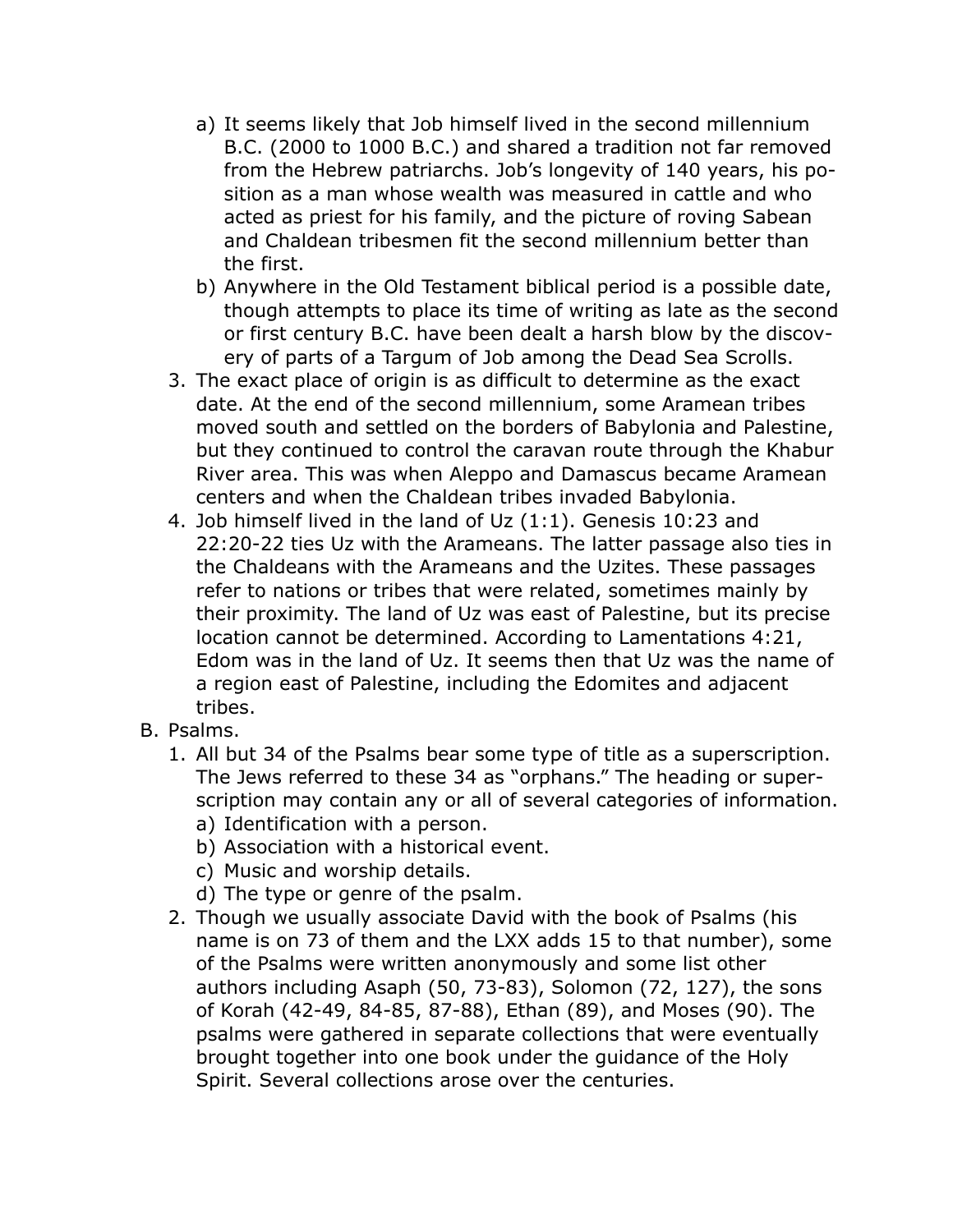- a) It seems likely that Job himself lived in the second millennium B.C. (2000 to 1000 B.C.) and shared a tradition not far removed from the Hebrew patriarchs. Job's longevity of 140 years, his position as a man whose wealth was measured in cattle and who acted as priest for his family, and the picture of roving Sabean and Chaldean tribesmen fit the second millennium better than the first.
- b) Anywhere in the Old Testament biblical period is a possible date, though attempts to place its time of writing as late as the second or first century B.C. have been dealt a harsh blow by the discovery of parts of a Targum of Job among the Dead Sea Scrolls.
- 3. The exact place of origin is as difficult to determine as the exact date. At the end of the second millennium, some Aramean tribes moved south and settled on the borders of Babylonia and Palestine, but they continued to control the caravan route through the Khabur River area. This was when Aleppo and Damascus became Aramean centers and when the Chaldean tribes invaded Babylonia.
- 4. Job himself lived in the land of Uz (1:1). Genesis 10:23 and 22:20-22 ties Uz with the Arameans. The latter passage also ties in the Chaldeans with the Arameans and the Uzites. These passages refer to nations or tribes that were related, sometimes mainly by their proximity. The land of Uz was east of Palestine, but its precise location cannot be determined. According to Lamentations 4:21, Edom was in the land of Uz. It seems then that Uz was the name of a region east of Palestine, including the Edomites and adjacent tribes.
- B. Psalms.
	- 1. All but 34 of the Psalms bear some type of title as a superscription. The Jews referred to these 34 as "orphans." The heading or superscription may contain any or all of several categories of information. a) Identification with a person.
		-
		- b) Association with a historical event.
		- c) Music and worship details.
		- d) The type or genre of the psalm.
	- 2. Though we usually associate David with the book of Psalms (his name is on 73 of them and the LXX adds 15 to that number), some of the Psalms were written anonymously and some list other authors including Asaph (50, 73-83), Solomon (72, 127), the sons of Korah (42-49, 84-85, 87-88), Ethan (89), and Moses (90). The psalms were gathered in separate collections that were eventually brought together into one book under the guidance of the Holy Spirit. Several collections arose over the centuries.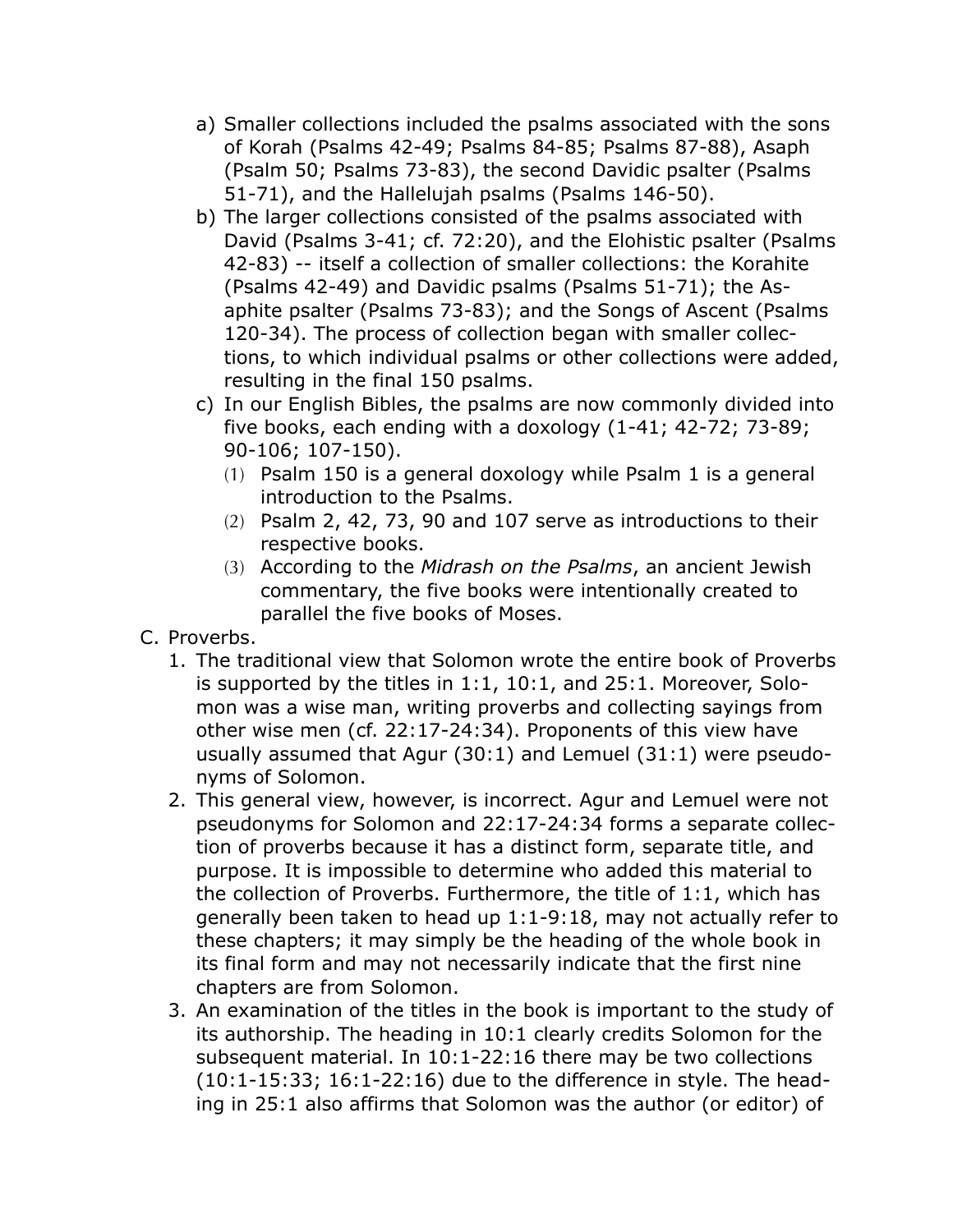- a) Smaller collections included the psalms associated with the sons of Korah (Psalms 42-49; Psalms 84-85; Psalms 87-88), Asaph (Psalm 50; Psalms 73-83), the second Davidic psalter (Psalms 51-71), and the Hallelujah psalms (Psalms 146-50).
- b) The larger collections consisted of the psalms associated with David (Psalms 3-41; cf. 72:20), and the Elohistic psalter (Psalms 42-83) -- itself a collection of smaller collections: the Korahite (Psalms 42-49) and Davidic psalms (Psalms 51-71); the Asaphite psalter (Psalms 73-83); and the Songs of Ascent (Psalms 120-34). The process of collection began with smaller collections, to which individual psalms or other collections were added, resulting in the final 150 psalms.
- c) In our English Bibles, the psalms are now commonly divided into five books, each ending with a doxology (1-41; 42-72; 73-89; 90-106; 107-150).
	- (1) Psalm 150 is a general doxology while Psalm 1 is a general introduction to the Psalms.
	- (2) Psalm 2, 42, 73, 90 and 107 serve as introductions to their respective books.
	- (3) According to the *Midrash on the Psalms*, an ancient Jewish commentary, the five books were intentionally created to parallel the five books of Moses.
- C. Proverbs.
	- 1. The traditional view that Solomon wrote the entire book of Proverbs is supported by the titles in 1:1, 10:1, and 25:1. Moreover, Solomon was a wise man, writing proverbs and collecting sayings from other wise men (cf. 22:17-24:34). Proponents of this view have usually assumed that Agur (30:1) and Lemuel (31:1) were pseudonyms of Solomon.
	- 2. This general view, however, is incorrect. Agur and Lemuel were not pseudonyms for Solomon and 22:17-24:34 forms a separate collection of proverbs because it has a distinct form, separate title, and purpose. It is impossible to determine who added this material to the collection of Proverbs. Furthermore, the title of 1:1, which has generally been taken to head up 1:1-9:18, may not actually refer to these chapters; it may simply be the heading of the whole book in its final form and may not necessarily indicate that the first nine chapters are from Solomon.
	- 3. An examination of the titles in the book is important to the study of its authorship. The heading in 10:1 clearly credits Solomon for the subsequent material. In 10:1-22:16 there may be two collections (10:1-15:33; 16:1-22:16) due to the difference in style. The heading in 25:1 also affirms that Solomon was the author (or editor) of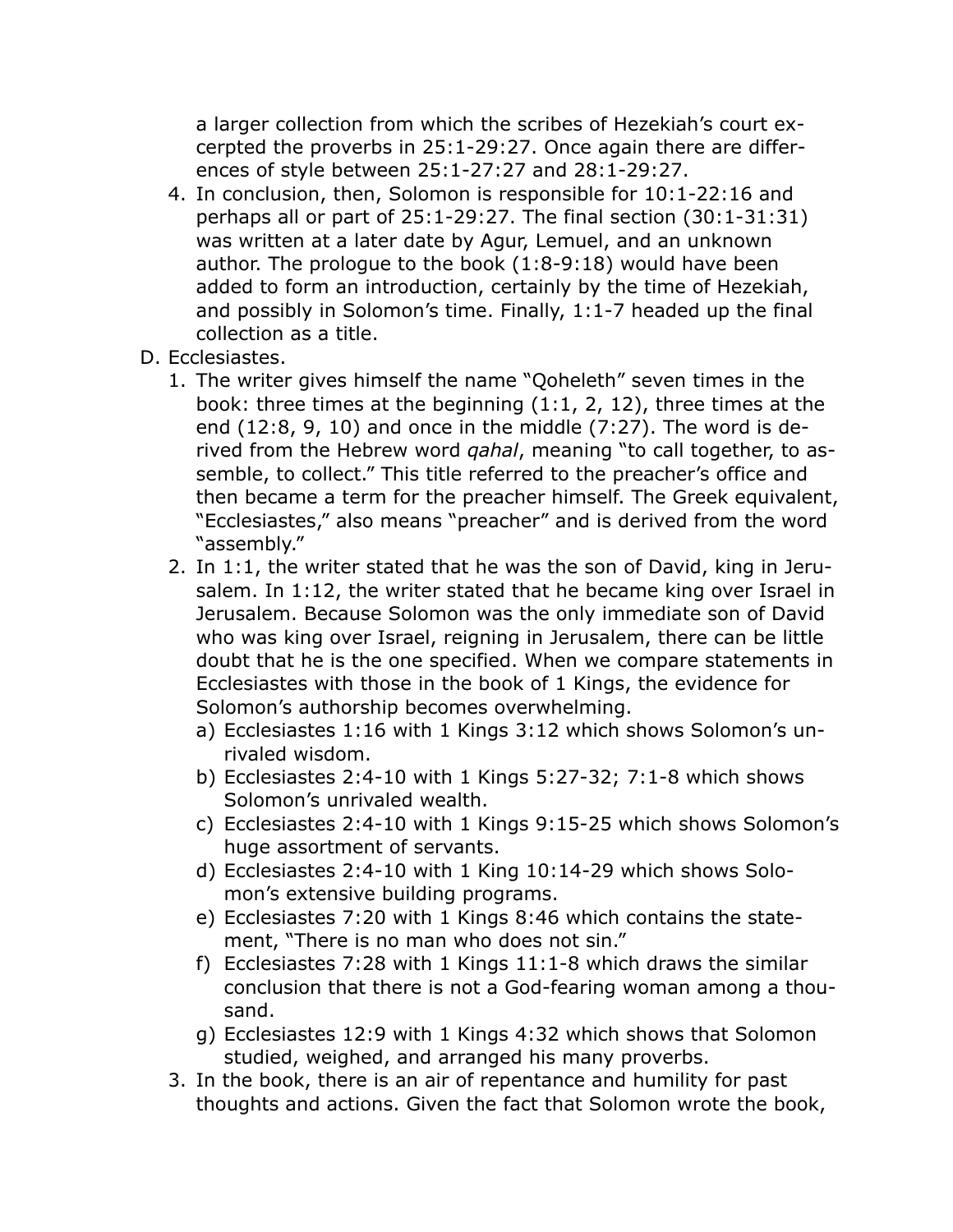a larger collection from which the scribes of Hezekiah's court excerpted the proverbs in 25:1-29:27. Once again there are differences of style between 25:1-27:27 and 28:1-29:27.

- 4. In conclusion, then, Solomon is responsible for 10:1-22:16 and perhaps all or part of 25:1-29:27. The final section (30:1-31:31) was written at a later date by Agur, Lemuel, and an unknown author. The prologue to the book (1:8-9:18) would have been added to form an introduction, certainly by the time of Hezekiah, and possibly in Solomon's time. Finally, 1:1-7 headed up the final collection as a title.
- D. Ecclesiastes.
	- 1. The writer gives himself the name "Qoheleth" seven times in the book: three times at the beginning (1:1, 2, 12), three times at the end (12:8, 9, 10) and once in the middle (7:27). The word is derived from the Hebrew word *qahal*, meaning "to call together, to assemble, to collect." This title referred to the preacher's office and then became a term for the preacher himself. The Greek equivalent, "Ecclesiastes," also means "preacher" and is derived from the word "assembly."
	- 2. In 1:1, the writer stated that he was the son of David, king in Jerusalem. In 1:12, the writer stated that he became king over Israel in Jerusalem. Because Solomon was the only immediate son of David who was king over Israel, reigning in Jerusalem, there can be little doubt that he is the one specified. When we compare statements in Ecclesiastes with those in the book of 1 Kings, the evidence for Solomon's authorship becomes overwhelming.
		- a) Ecclesiastes 1:16 with 1 Kings 3:12 which shows Solomon's unrivaled wisdom.
		- b) Ecclesiastes 2:4-10 with 1 Kings 5:27-32; 7:1-8 which shows Solomon's unrivaled wealth.
		- c) Ecclesiastes 2:4-10 with 1 Kings 9:15-25 which shows Solomon's huge assortment of servants.
		- d) Ecclesiastes 2:4-10 with 1 King 10:14-29 which shows Solomon's extensive building programs.
		- e) Ecclesiastes 7:20 with 1 Kings 8:46 which contains the statement, "There is no man who does not sin."
		- f) Ecclesiastes 7:28 with 1 Kings 11:1-8 which draws the similar conclusion that there is not a God-fearing woman among a thousand.
		- g) Ecclesiastes 12:9 with 1 Kings 4:32 which shows that Solomon studied, weighed, and arranged his many proverbs.
	- 3. In the book, there is an air of repentance and humility for past thoughts and actions. Given the fact that Solomon wrote the book,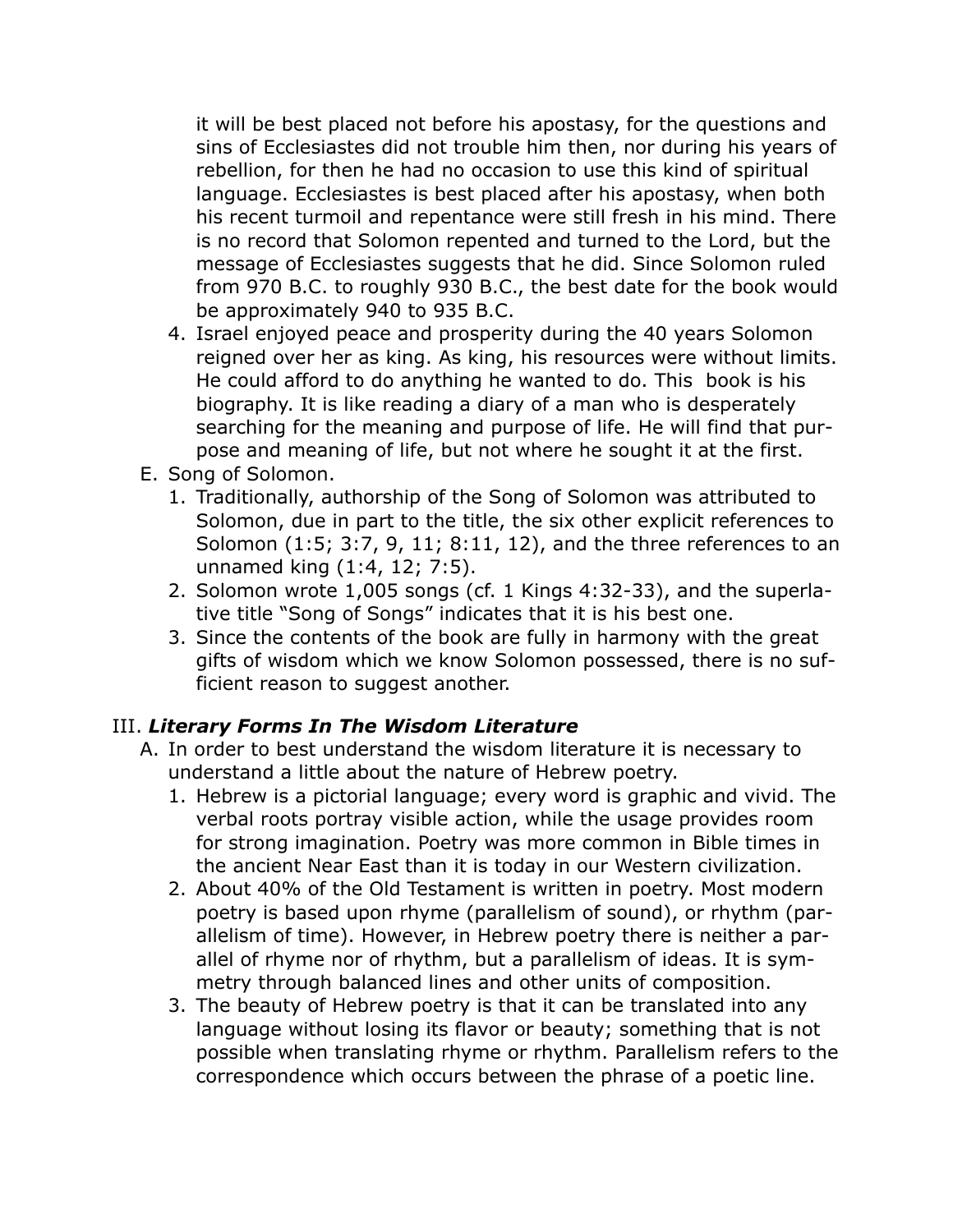it will be best placed not before his apostasy, for the questions and sins of Ecclesiastes did not trouble him then, nor during his years of rebellion, for then he had no occasion to use this kind of spiritual language. Ecclesiastes is best placed after his apostasy, when both his recent turmoil and repentance were still fresh in his mind. There is no record that Solomon repented and turned to the Lord, but the message of Ecclesiastes suggests that he did. Since Solomon ruled from 970 B.C. to roughly 930 B.C., the best date for the book would be approximately 940 to 935 B.C.

- 4. Israel enjoyed peace and prosperity during the 40 years Solomon reigned over her as king. As king, his resources were without limits. He could afford to do anything he wanted to do. This book is his biography. It is like reading a diary of a man who is desperately searching for the meaning and purpose of life. He will find that purpose and meaning of life, but not where he sought it at the first.
- E. Song of Solomon.
	- 1. Traditionally, authorship of the Song of Solomon was attributed to Solomon, due in part to the title, the six other explicit references to Solomon (1:5; 3:7, 9, 11; 8:11, 12), and the three references to an unnamed king (1:4, 12; 7:5).
	- 2. Solomon wrote 1,005 songs (cf. 1 Kings 4:32-33), and the superlative title "Song of Songs" indicates that it is his best one.
	- 3. Since the contents of the book are fully in harmony with the great gifts of wisdom which we know Solomon possessed, there is no sufficient reason to suggest another.

#### III. *Literary Forms In The Wisdom Literature*

- A. In order to best understand the wisdom literature it is necessary to understand a little about the nature of Hebrew poetry.
	- 1. Hebrew is a pictorial language; every word is graphic and vivid. The verbal roots portray visible action, while the usage provides room for strong imagination. Poetry was more common in Bible times in the ancient Near East than it is today in our Western civilization.
	- 2. About 40% of the Old Testament is written in poetry. Most modern poetry is based upon rhyme (parallelism of sound), or rhythm (parallelism of time). However, in Hebrew poetry there is neither a parallel of rhyme nor of rhythm, but a parallelism of ideas. It is symmetry through balanced lines and other units of composition.
	- 3. The beauty of Hebrew poetry is that it can be translated into any language without losing its flavor or beauty; something that is not possible when translating rhyme or rhythm. Parallelism refers to the correspondence which occurs between the phrase of a poetic line.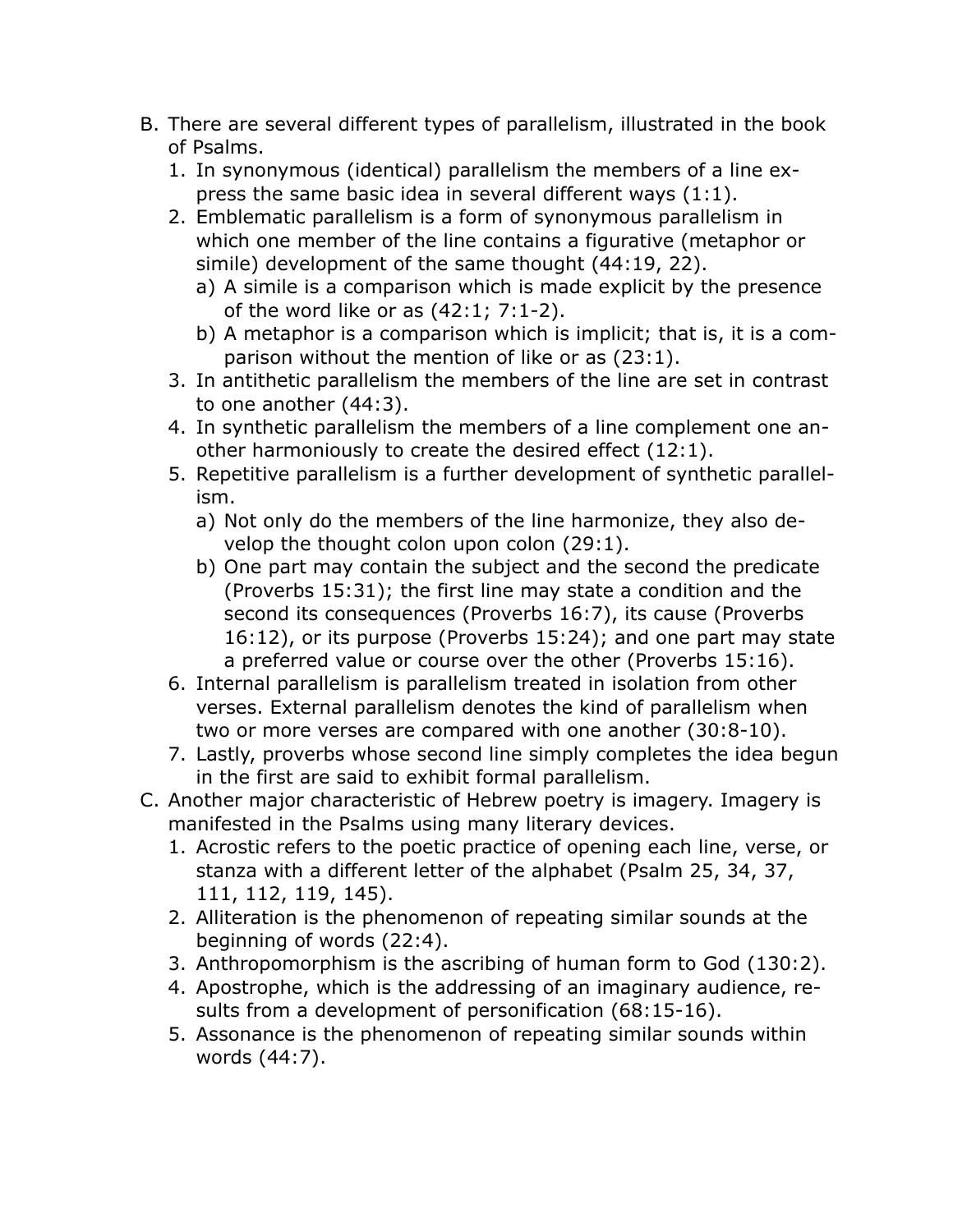- B. There are several different types of parallelism, illustrated in the book of Psalms.
	- 1. In synonymous (identical) parallelism the members of a line express the same basic idea in several different ways (1:1).
	- 2. Emblematic parallelism is a form of synonymous parallelism in which one member of the line contains a figurative (metaphor or simile) development of the same thought (44:19, 22).
		- a) A simile is a comparison which is made explicit by the presence of the word like or as (42:1; 7:1-2).
		- b) A metaphor is a comparison which is implicit; that is, it is a comparison without the mention of like or as (23:1).
	- 3. In antithetic parallelism the members of the line are set in contrast to one another (44:3).
	- 4. In synthetic parallelism the members of a line complement one another harmoniously to create the desired effect (12:1).
	- 5. Repetitive parallelism is a further development of synthetic parallelism.
		- a) Not only do the members of the line harmonize, they also develop the thought colon upon colon (29:1).
		- b) One part may contain the subject and the second the predicate (Proverbs 15:31); the first line may state a condition and the second its consequences (Proverbs 16:7), its cause (Proverbs 16:12), or its purpose (Proverbs 15:24); and one part may state a preferred value or course over the other (Proverbs 15:16).
	- 6. Internal parallelism is parallelism treated in isolation from other verses. External parallelism denotes the kind of parallelism when two or more verses are compared with one another (30:8-10).
	- 7. Lastly, proverbs whose second line simply completes the idea begun in the first are said to exhibit formal parallelism.
- C. Another major characteristic of Hebrew poetry is imagery. Imagery is manifested in the Psalms using many literary devices.
	- 1. Acrostic refers to the poetic practice of opening each line, verse, or stanza with a different letter of the alphabet (Psalm 25, 34, 37, 111, 112, 119, 145).
	- 2. Alliteration is the phenomenon of repeating similar sounds at the beginning of words (22:4).
	- 3. Anthropomorphism is the ascribing of human form to God (130:2).
	- 4. Apostrophe, which is the addressing of an imaginary audience, results from a development of personification (68:15-16).
	- 5. Assonance is the phenomenon of repeating similar sounds within words (44:7).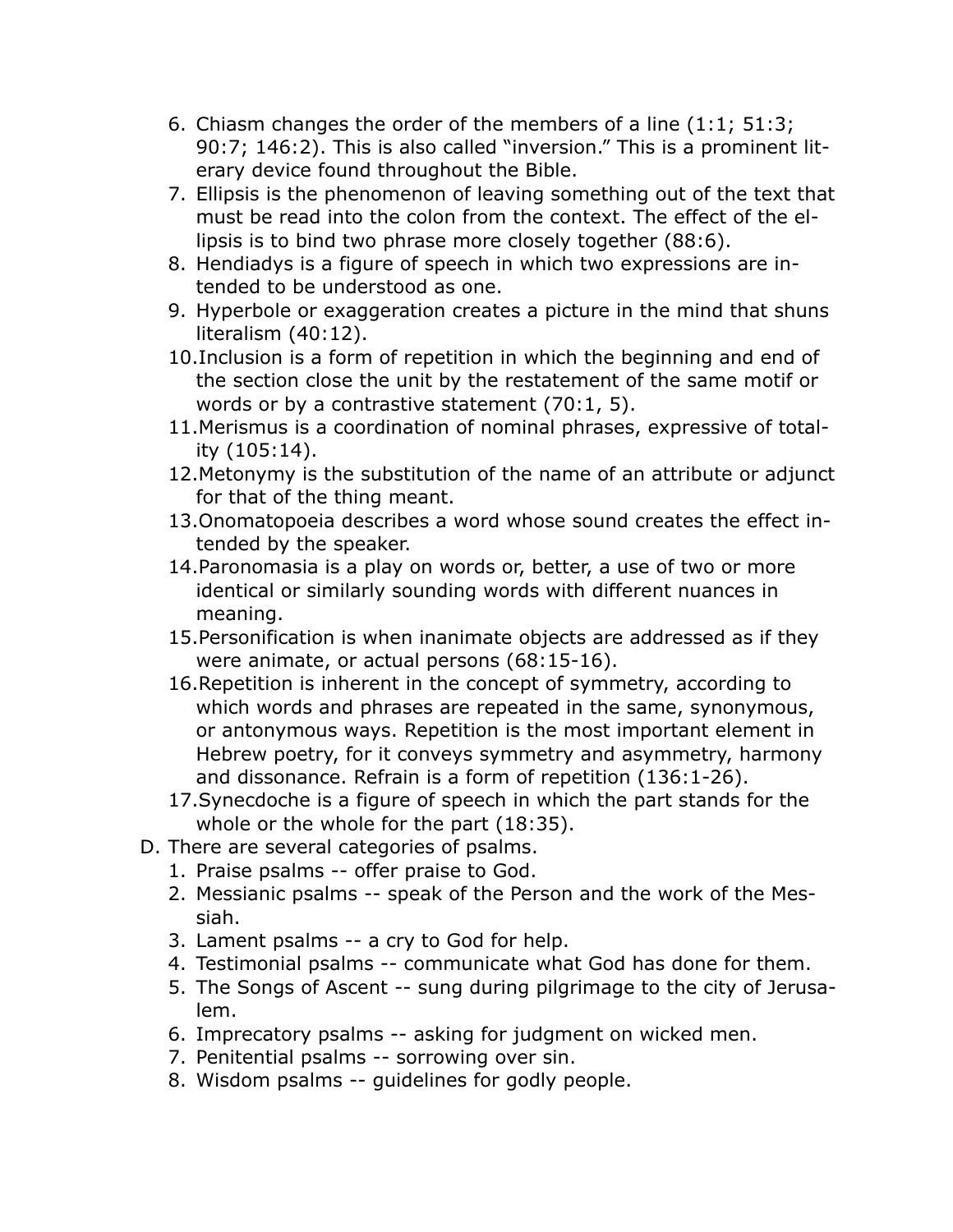- 6. Chiasm changes the order of the members of a line (1:1; 51:3; 90:7; 146:2). This is also called "inversion." This is a prominent literary device found throughout the Bible.
- 7. Ellipsis is the phenomenon of leaving something out of the text that must be read into the colon from the context. The effect of the ellipsis is to bind two phrase more closely together (88:6).
- 8. Hendiadys is a figure of speech in which two expressions are intended to be understood as one.
- 9. Hyperbole or exaggeration creates a picture in the mind that shuns literalism (40:12).
- 10.Inclusion is a form of repetition in which the beginning and end of the section close the unit by the restatement of the same motif or words or by a contrastive statement (70:1, 5).
- 11.Merismus is a coordination of nominal phrases, expressive of totality (105:14).
- 12.Metonymy is the substitution of the name of an attribute or adjunct for that of the thing meant.
- 13.Onomatopoeia describes a word whose sound creates the effect intended by the speaker.
- 14.Paronomasia is a play on words or, better, a use of two or more identical or similarly sounding words with different nuances in meaning.
- 15.Personification is when inanimate objects are addressed as if they were animate, or actual persons (68:15-16).
- 16.Repetition is inherent in the concept of symmetry, according to which words and phrases are repeated in the same, synonymous, or antonymous ways. Repetition is the most important element in Hebrew poetry, for it conveys symmetry and asymmetry, harmony and dissonance. Refrain is a form of repetition (136:1-26).
- 17.Synecdoche is a figure of speech in which the part stands for the whole or the whole for the part (18:35).
- D. There are several categories of psalms.
	- 1. Praise psalms -- offer praise to God.
	- 2. Messianic psalms -- speak of the Person and the work of the Messiah.
	- 3. Lament psalms -- a cry to God for help.
	- 4. Testimonial psalms -- communicate what God has done for them.
	- 5. The Songs of Ascent -- sung during pilgrimage to the city of Jerusalem.
	- 6. Imprecatory psalms -- asking for judgment on wicked men.
	- 7. Penitential psalms -- sorrowing over sin.
	- 8. Wisdom psalms -- guidelines for godly people.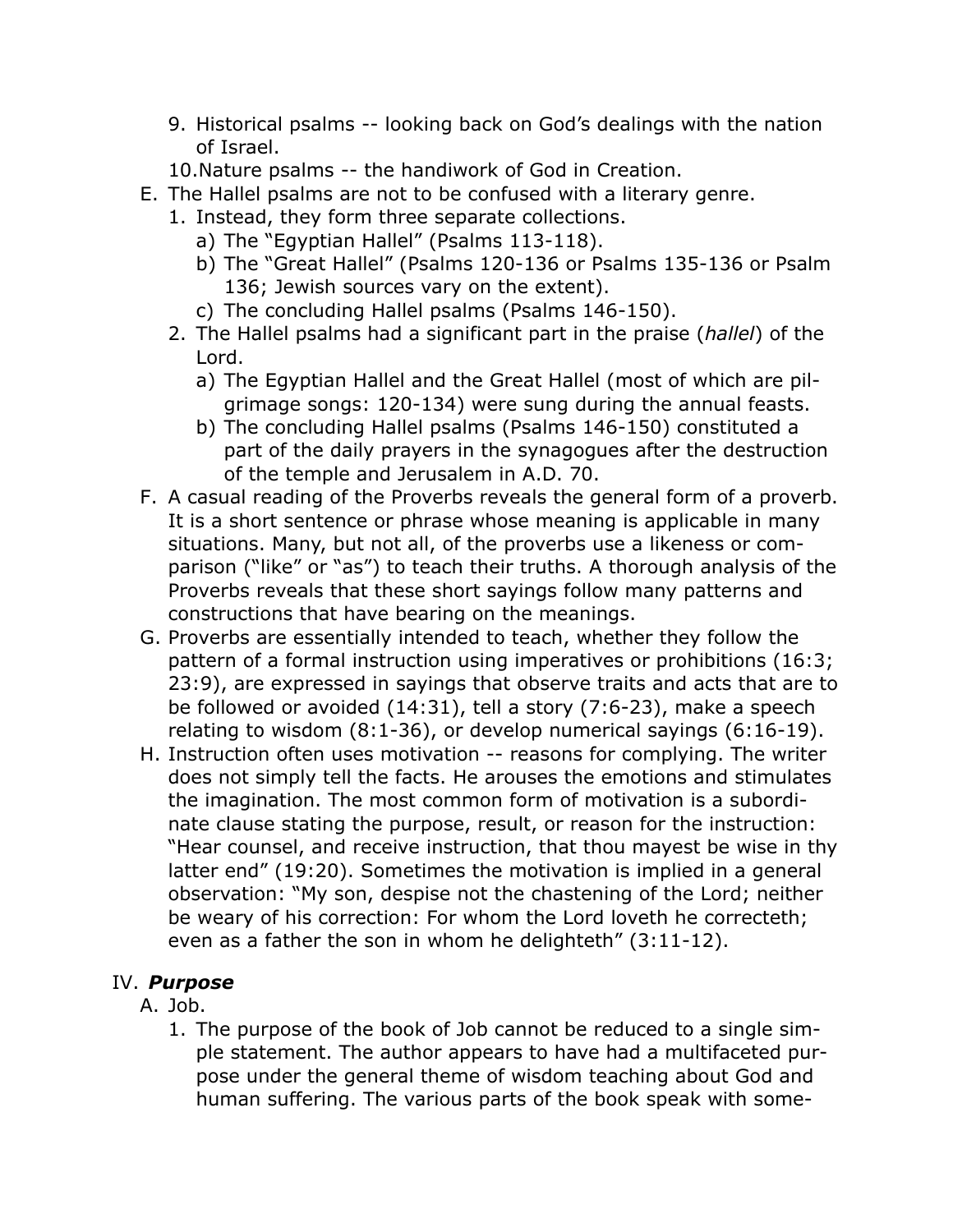- 9. Historical psalms -- looking back on God's dealings with the nation of Israel.
- 10.Nature psalms -- the handiwork of God in Creation.
- E. The Hallel psalms are not to be confused with a literary genre.
	- 1. Instead, they form three separate collections.
		- a) The "Egyptian Hallel" (Psalms 113-118).
		- b) The "Great Hallel" (Psalms 120-136 or Psalms 135-136 or Psalm 136; Jewish sources vary on the extent).
		- c) The concluding Hallel psalms (Psalms 146-150).
	- 2. The Hallel psalms had a significant part in the praise (*hallel*) of the Lord.
		- a) The Egyptian Hallel and the Great Hallel (most of which are pilgrimage songs: 120-134) were sung during the annual feasts.
		- b) The concluding Hallel psalms (Psalms 146-150) constituted a part of the daily prayers in the synagogues after the destruction of the temple and Jerusalem in A.D. 70.
- F. A casual reading of the Proverbs reveals the general form of a proverb. It is a short sentence or phrase whose meaning is applicable in many situations. Many, but not all, of the proverbs use a likeness or comparison ("like" or "as") to teach their truths. A thorough analysis of the Proverbs reveals that these short sayings follow many patterns and constructions that have bearing on the meanings.
- G. Proverbs are essentially intended to teach, whether they follow the pattern of a formal instruction using imperatives or prohibitions (16:3; 23:9), are expressed in sayings that observe traits and acts that are to be followed or avoided (14:31), tell a story (7:6-23), make a speech relating to wisdom (8:1-36), or develop numerical sayings (6:16-19).
- H. Instruction often uses motivation -- reasons for complying. The writer does not simply tell the facts. He arouses the emotions and stimulates the imagination. The most common form of motivation is a subordinate clause stating the purpose, result, or reason for the instruction: "Hear counsel, and receive instruction, that thou mayest be wise in thy latter end" (19:20). Sometimes the motivation is implied in a general observation: "My son, despise not the chastening of the Lord; neither be weary of his correction: For whom the Lord loveth he correcteth; even as a father the son in whom he delighteth" (3:11-12).

# IV. *Purpose*

#### A. Job.

1. The purpose of the book of Job cannot be reduced to a single simple statement. The author appears to have had a multifaceted purpose under the general theme of wisdom teaching about God and human suffering. The various parts of the book speak with some-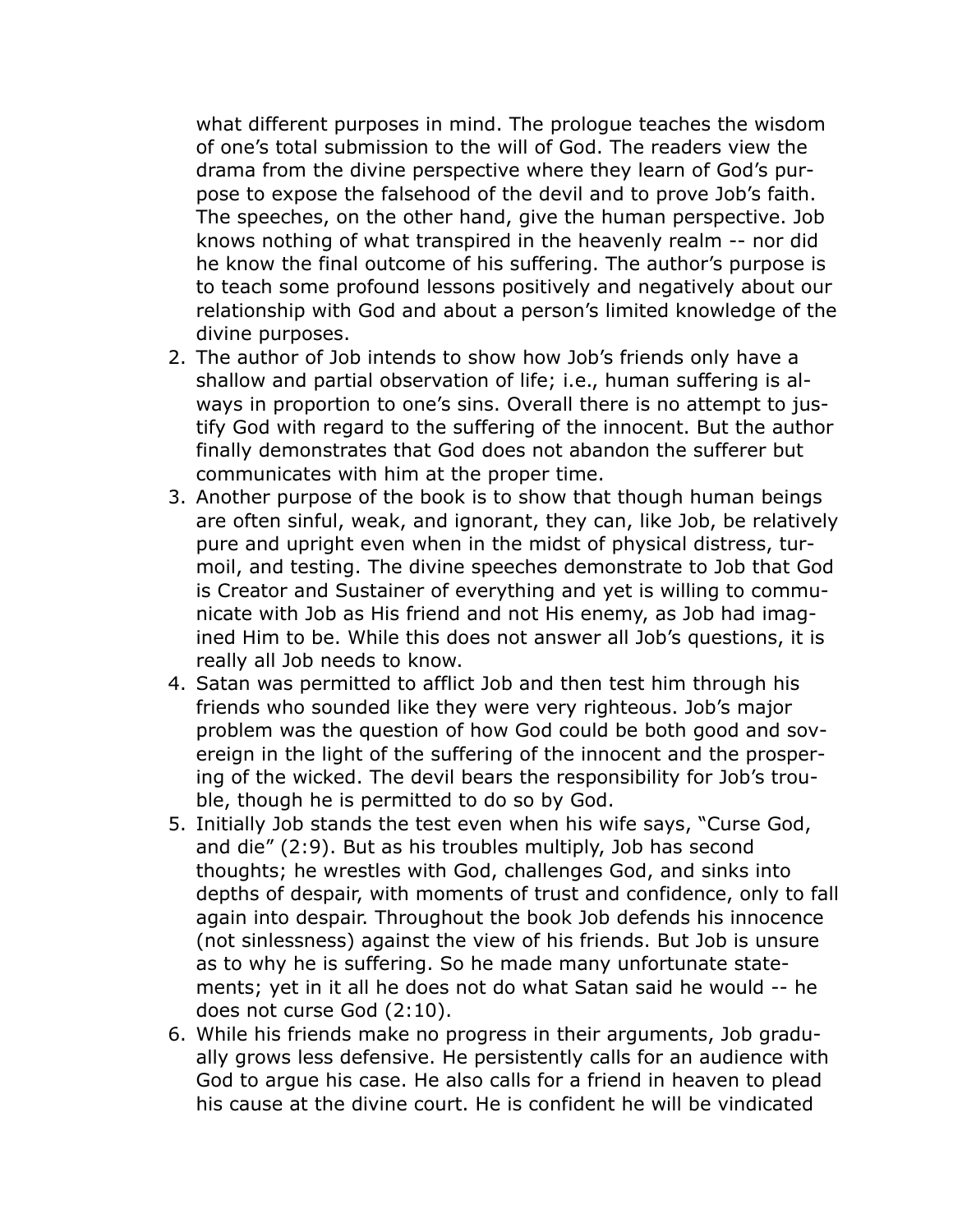what different purposes in mind. The prologue teaches the wisdom of one's total submission to the will of God. The readers view the drama from the divine perspective where they learn of God's purpose to expose the falsehood of the devil and to prove Job's faith. The speeches, on the other hand, give the human perspective. Job knows nothing of what transpired in the heavenly realm -- nor did he know the final outcome of his suffering. The author's purpose is to teach some profound lessons positively and negatively about our relationship with God and about a person's limited knowledge of the divine purposes.

- 2. The author of Job intends to show how Job's friends only have a shallow and partial observation of life; i.e., human suffering is always in proportion to one's sins. Overall there is no attempt to justify God with regard to the suffering of the innocent. But the author finally demonstrates that God does not abandon the sufferer but communicates with him at the proper time.
- 3. Another purpose of the book is to show that though human beings are often sinful, weak, and ignorant, they can, like Job, be relatively pure and upright even when in the midst of physical distress, turmoil, and testing. The divine speeches demonstrate to Job that God is Creator and Sustainer of everything and yet is willing to communicate with Job as His friend and not His enemy, as Job had imagined Him to be. While this does not answer all Job's questions, it is really all Job needs to know.
- 4. Satan was permitted to afflict Job and then test him through his friends who sounded like they were very righteous. Job's major problem was the question of how God could be both good and sovereign in the light of the suffering of the innocent and the prospering of the wicked. The devil bears the responsibility for Job's trouble, though he is permitted to do so by God.
- 5. Initially Job stands the test even when his wife says, "Curse God, and die" (2:9). But as his troubles multiply, Job has second thoughts; he wrestles with God, challenges God, and sinks into depths of despair, with moments of trust and confidence, only to fall again into despair. Throughout the book Job defends his innocence (not sinlessness) against the view of his friends. But Job is unsure as to why he is suffering. So he made many unfortunate statements; yet in it all he does not do what Satan said he would -- he does not curse God (2:10).
- 6. While his friends make no progress in their arguments, Job gradually grows less defensive. He persistently calls for an audience with God to argue his case. He also calls for a friend in heaven to plead his cause at the divine court. He is confident he will be vindicated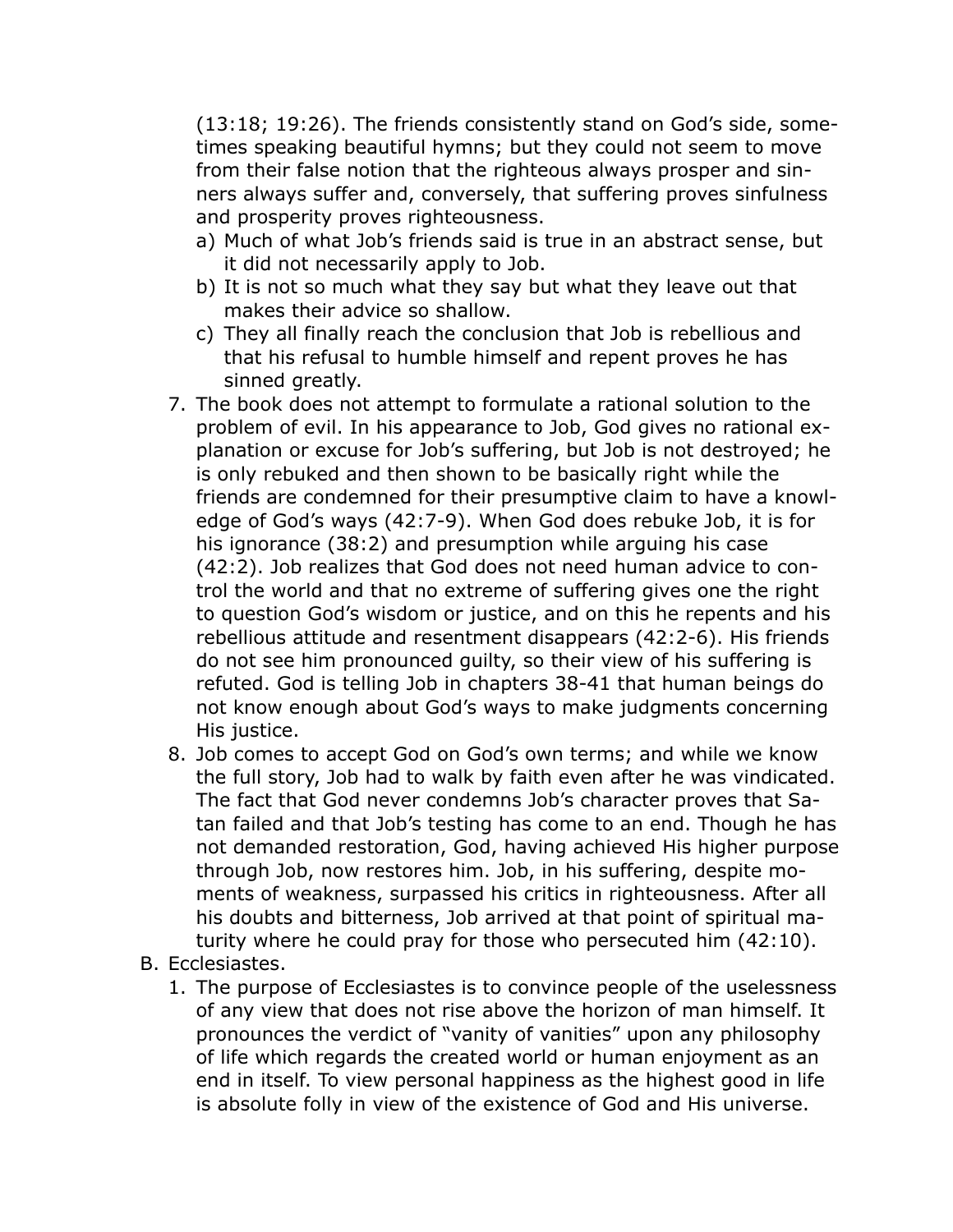(13:18; 19:26). The friends consistently stand on God's side, sometimes speaking beautiful hymns; but they could not seem to move from their false notion that the righteous always prosper and sinners always suffer and, conversely, that suffering proves sinfulness and prosperity proves righteousness.

- a) Much of what Job's friends said is true in an abstract sense, but it did not necessarily apply to Job.
- b) It is not so much what they say but what they leave out that makes their advice so shallow.
- c) They all finally reach the conclusion that Job is rebellious and that his refusal to humble himself and repent proves he has sinned greatly.
- 7. The book does not attempt to formulate a rational solution to the problem of evil. In his appearance to Job, God gives no rational explanation or excuse for Job's suffering, but Job is not destroyed; he is only rebuked and then shown to be basically right while the friends are condemned for their presumptive claim to have a knowledge of God's ways (42:7-9). When God does rebuke Job, it is for his ignorance (38:2) and presumption while arguing his case (42:2). Job realizes that God does not need human advice to control the world and that no extreme of suffering gives one the right to question God's wisdom or justice, and on this he repents and his rebellious attitude and resentment disappears (42:2-6). His friends do not see him pronounced guilty, so their view of his suffering is refuted. God is telling Job in chapters 38-41 that human beings do not know enough about God's ways to make judgments concerning His justice.
- 8. Job comes to accept God on God's own terms; and while we know the full story, Job had to walk by faith even after he was vindicated. The fact that God never condemns Job's character proves that Satan failed and that Job's testing has come to an end. Though he has not demanded restoration, God, having achieved His higher purpose through Job, now restores him. Job, in his suffering, despite moments of weakness, surpassed his critics in righteousness. After all his doubts and bitterness, Job arrived at that point of spiritual maturity where he could pray for those who persecuted him (42:10).
- B. Ecclesiastes.
	- 1. The purpose of Ecclesiastes is to convince people of the uselessness of any view that does not rise above the horizon of man himself. It pronounces the verdict of "vanity of vanities" upon any philosophy of life which regards the created world or human enjoyment as an end in itself. To view personal happiness as the highest good in life is absolute folly in view of the existence of God and His universe.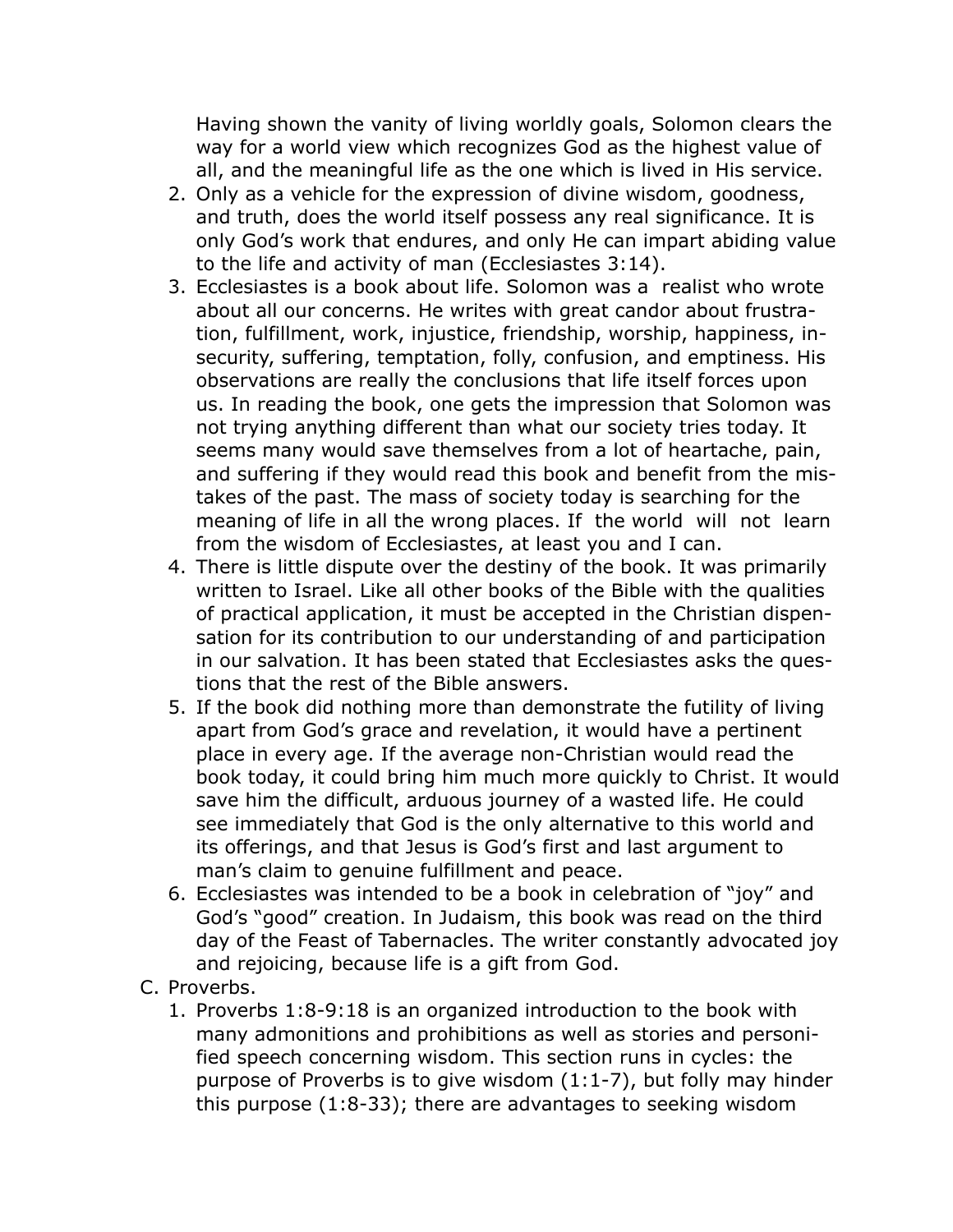Having shown the vanity of living worldly goals, Solomon clears the way for a world view which recognizes God as the highest value of all, and the meaningful life as the one which is lived in His service.

- 2. Only as a vehicle for the expression of divine wisdom, goodness, and truth, does the world itself possess any real significance. It is only God's work that endures, and only He can impart abiding value to the life and activity of man (Ecclesiastes 3:14).
- 3. Ecclesiastes is a book about life. Solomon was a realist who wrote about all our concerns. He writes with great candor about frustration, fulfillment, work, injustice, friendship, worship, happiness, insecurity, suffering, temptation, folly, confusion, and emptiness. His observations are really the conclusions that life itself forces upon us. In reading the book, one gets the impression that Solomon was not trying anything different than what our society tries today. It seems many would save themselves from a lot of heartache, pain, and suffering if they would read this book and benefit from the mistakes of the past. The mass of society today is searching for the meaning of life in all the wrong places. If the world will not learn from the wisdom of Ecclesiastes, at least you and I can.
- 4. There is little dispute over the destiny of the book. It was primarily written to Israel. Like all other books of the Bible with the qualities of practical application, it must be accepted in the Christian dispensation for its contribution to our understanding of and participation in our salvation. It has been stated that Ecclesiastes asks the questions that the rest of the Bible answers.
- 5. If the book did nothing more than demonstrate the futility of living apart from God's grace and revelation, it would have a pertinent place in every age. If the average non-Christian would read the book today, it could bring him much more quickly to Christ. It would save him the difficult, arduous journey of a wasted life. He could see immediately that God is the only alternative to this world and its offerings, and that Jesus is God's first and last argument to man's claim to genuine fulfillment and peace.
- 6. Ecclesiastes was intended to be a book in celebration of "joy" and God's "good" creation. In Judaism, this book was read on the third day of the Feast of Tabernacles. The writer constantly advocated joy and rejoicing, because life is a gift from God.
- C. Proverbs.
	- 1. Proverbs 1:8-9:18 is an organized introduction to the book with many admonitions and prohibitions as well as stories and personified speech concerning wisdom. This section runs in cycles: the purpose of Proverbs is to give wisdom (1:1-7), but folly may hinder this purpose (1:8-33); there are advantages to seeking wisdom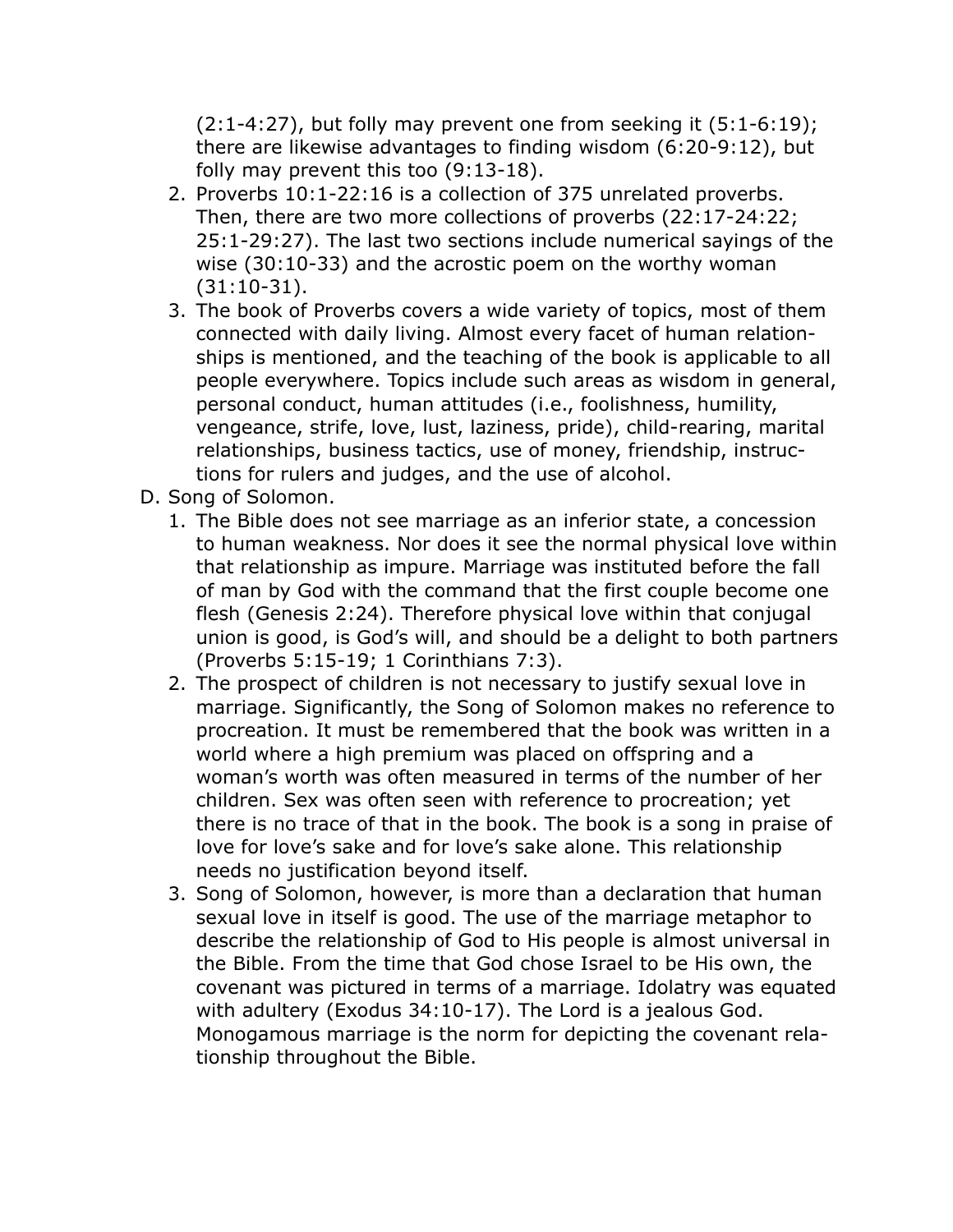$(2:1-4:27)$ , but folly may prevent one from seeking it  $(5:1-6:19)$ ; there are likewise advantages to finding wisdom (6:20-9:12), but folly may prevent this too (9:13-18).

- 2. Proverbs 10:1-22:16 is a collection of 375 unrelated proverbs. Then, there are two more collections of proverbs (22:17-24:22; 25:1-29:27). The last two sections include numerical sayings of the wise (30:10-33) and the acrostic poem on the worthy woman (31:10-31).
- 3. The book of Proverbs covers a wide variety of topics, most of them connected with daily living. Almost every facet of human relationships is mentioned, and the teaching of the book is applicable to all people everywhere. Topics include such areas as wisdom in general, personal conduct, human attitudes (i.e., foolishness, humility, vengeance, strife, love, lust, laziness, pride), child-rearing, marital relationships, business tactics, use of money, friendship, instructions for rulers and judges, and the use of alcohol.
- D. Song of Solomon.
	- 1. The Bible does not see marriage as an inferior state, a concession to human weakness. Nor does it see the normal physical love within that relationship as impure. Marriage was instituted before the fall of man by God with the command that the first couple become one flesh (Genesis 2:24). Therefore physical love within that conjugal union is good, is God's will, and should be a delight to both partners (Proverbs 5:15-19; 1 Corinthians 7:3).
	- 2. The prospect of children is not necessary to justify sexual love in marriage. Significantly, the Song of Solomon makes no reference to procreation. It must be remembered that the book was written in a world where a high premium was placed on offspring and a woman's worth was often measured in terms of the number of her children. Sex was often seen with reference to procreation; yet there is no trace of that in the book. The book is a song in praise of love for love's sake and for love's sake alone. This relationship needs no justification beyond itself.
	- 3. Song of Solomon, however, is more than a declaration that human sexual love in itself is good. The use of the marriage metaphor to describe the relationship of God to His people is almost universal in the Bible. From the time that God chose Israel to be His own, the covenant was pictured in terms of a marriage. Idolatry was equated with adultery (Exodus 34:10-17). The Lord is a jealous God. Monogamous marriage is the norm for depicting the covenant relationship throughout the Bible.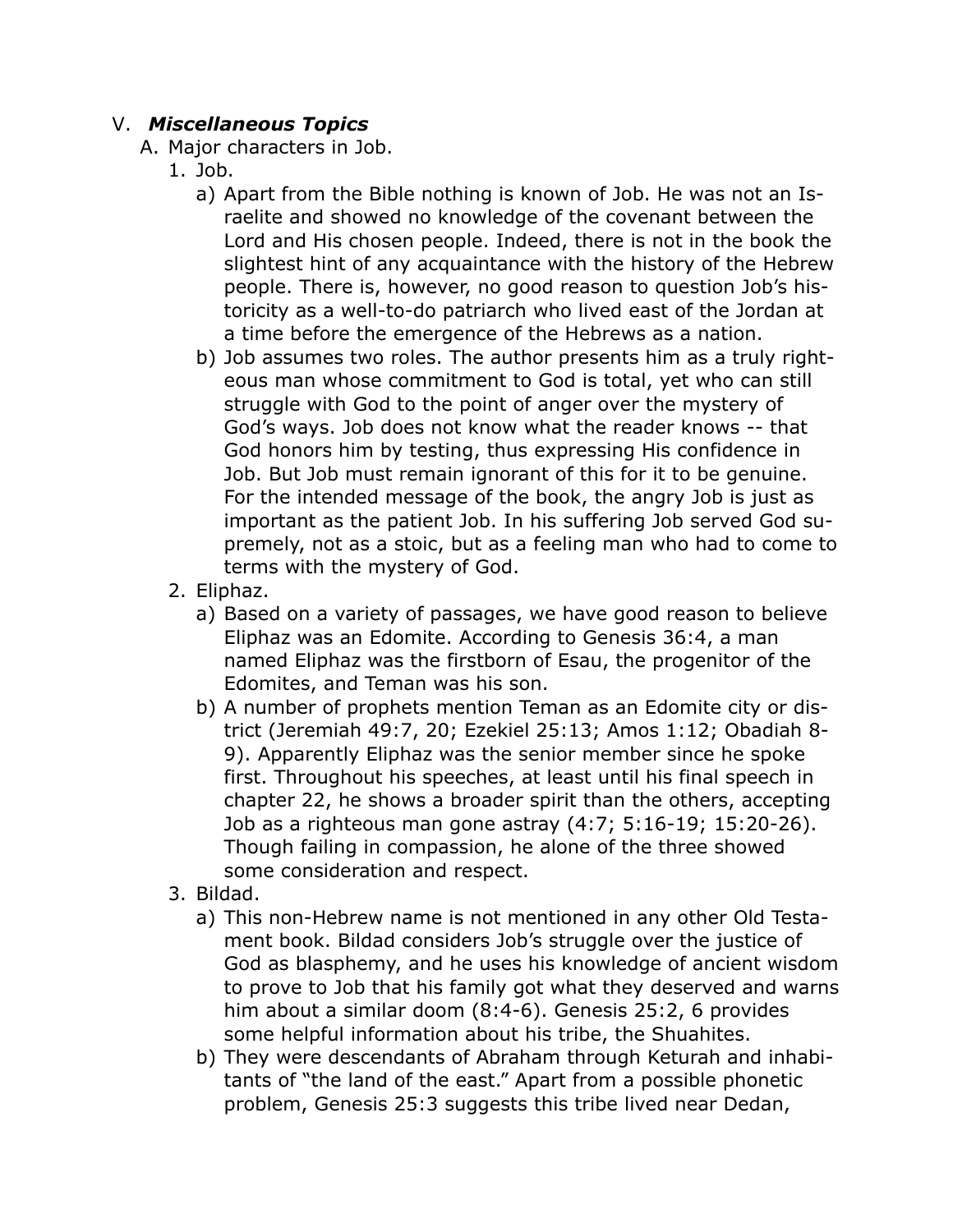## V. *Miscellaneous Topics*

- A. Major characters in Job.
	- 1. Job.
		- a) Apart from the Bible nothing is known of Job. He was not an Israelite and showed no knowledge of the covenant between the Lord and His chosen people. Indeed, there is not in the book the slightest hint of any acquaintance with the history of the Hebrew people. There is, however, no good reason to question Job's historicity as a well-to-do patriarch who lived east of the Jordan at a time before the emergence of the Hebrews as a nation.
		- b) Job assumes two roles. The author presents him as a truly righteous man whose commitment to God is total, yet who can still struggle with God to the point of anger over the mystery of God's ways. Job does not know what the reader knows -- that God honors him by testing, thus expressing His confidence in Job. But Job must remain ignorant of this for it to be genuine. For the intended message of the book, the angry Job is just as important as the patient Job. In his suffering Job served God supremely, not as a stoic, but as a feeling man who had to come to terms with the mystery of God.
	- 2. Eliphaz.
		- a) Based on a variety of passages, we have good reason to believe Eliphaz was an Edomite. According to Genesis 36:4, a man named Eliphaz was the firstborn of Esau, the progenitor of the Edomites, and Teman was his son.
		- b) A number of prophets mention Teman as an Edomite city or district (Jeremiah 49:7, 20; Ezekiel 25:13; Amos 1:12; Obadiah 8- 9). Apparently Eliphaz was the senior member since he spoke first. Throughout his speeches, at least until his final speech in chapter 22, he shows a broader spirit than the others, accepting Job as a righteous man gone astray (4:7; 5:16-19; 15:20-26). Though failing in compassion, he alone of the three showed some consideration and respect.
	- 3. Bildad.
		- a) This non-Hebrew name is not mentioned in any other Old Testament book. Bildad considers Job's struggle over the justice of God as blasphemy, and he uses his knowledge of ancient wisdom to prove to Job that his family got what they deserved and warns him about a similar doom (8:4-6). Genesis 25:2, 6 provides some helpful information about his tribe, the Shuahites.
		- b) They were descendants of Abraham through Keturah and inhabitants of "the land of the east." Apart from a possible phonetic problem, Genesis 25:3 suggests this tribe lived near Dedan,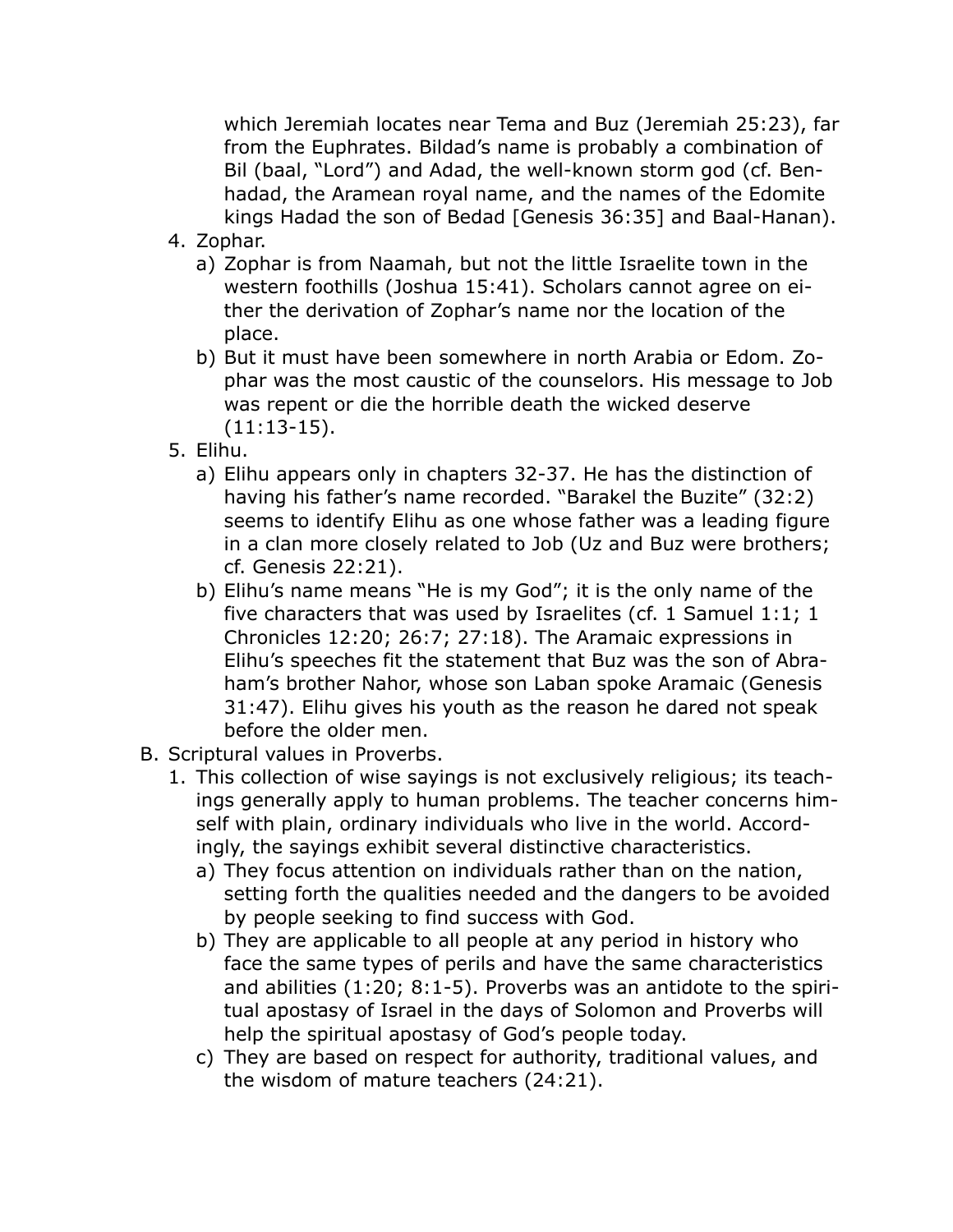which Jeremiah locates near Tema and Buz (Jeremiah 25:23), far from the Euphrates. Bildad's name is probably a combination of Bil (baal, "Lord") and Adad, the well-known storm god (cf. Benhadad, the Aramean royal name, and the names of the Edomite kings Hadad the son of Bedad [Genesis 36:35] and Baal-Hanan).

- 4. Zophar.
	- a) Zophar is from Naamah, but not the little Israelite town in the western foothills (Joshua 15:41). Scholars cannot agree on either the derivation of Zophar's name nor the location of the place.
	- b) But it must have been somewhere in north Arabia or Edom. Zophar was the most caustic of the counselors. His message to Job was repent or die the horrible death the wicked deserve (11:13-15).
- 5. Elihu.
	- a) Elihu appears only in chapters 32-37. He has the distinction of having his father's name recorded. "Barakel the Buzite" (32:2) seems to identify Elihu as one whose father was a leading figure in a clan more closely related to Job (Uz and Buz were brothers; cf. Genesis 22:21).
	- b) Elihu's name means "He is my God"; it is the only name of the five characters that was used by Israelites (cf. 1 Samuel 1:1; 1 Chronicles 12:20; 26:7; 27:18). The Aramaic expressions in Elihu's speeches fit the statement that Buz was the son of Abraham's brother Nahor, whose son Laban spoke Aramaic (Genesis 31:47). Elihu gives his youth as the reason he dared not speak before the older men.
- B. Scriptural values in Proverbs.
	- 1. This collection of wise sayings is not exclusively religious; its teachings generally apply to human problems. The teacher concerns himself with plain, ordinary individuals who live in the world. Accordingly, the sayings exhibit several distinctive characteristics.
		- a) They focus attention on individuals rather than on the nation, setting forth the qualities needed and the dangers to be avoided by people seeking to find success with God.
		- b) They are applicable to all people at any period in history who face the same types of perils and have the same characteristics and abilities (1:20; 8:1-5). Proverbs was an antidote to the spiritual apostasy of Israel in the days of Solomon and Proverbs will help the spiritual apostasy of God's people today.
		- c) They are based on respect for authority, traditional values, and the wisdom of mature teachers (24:21).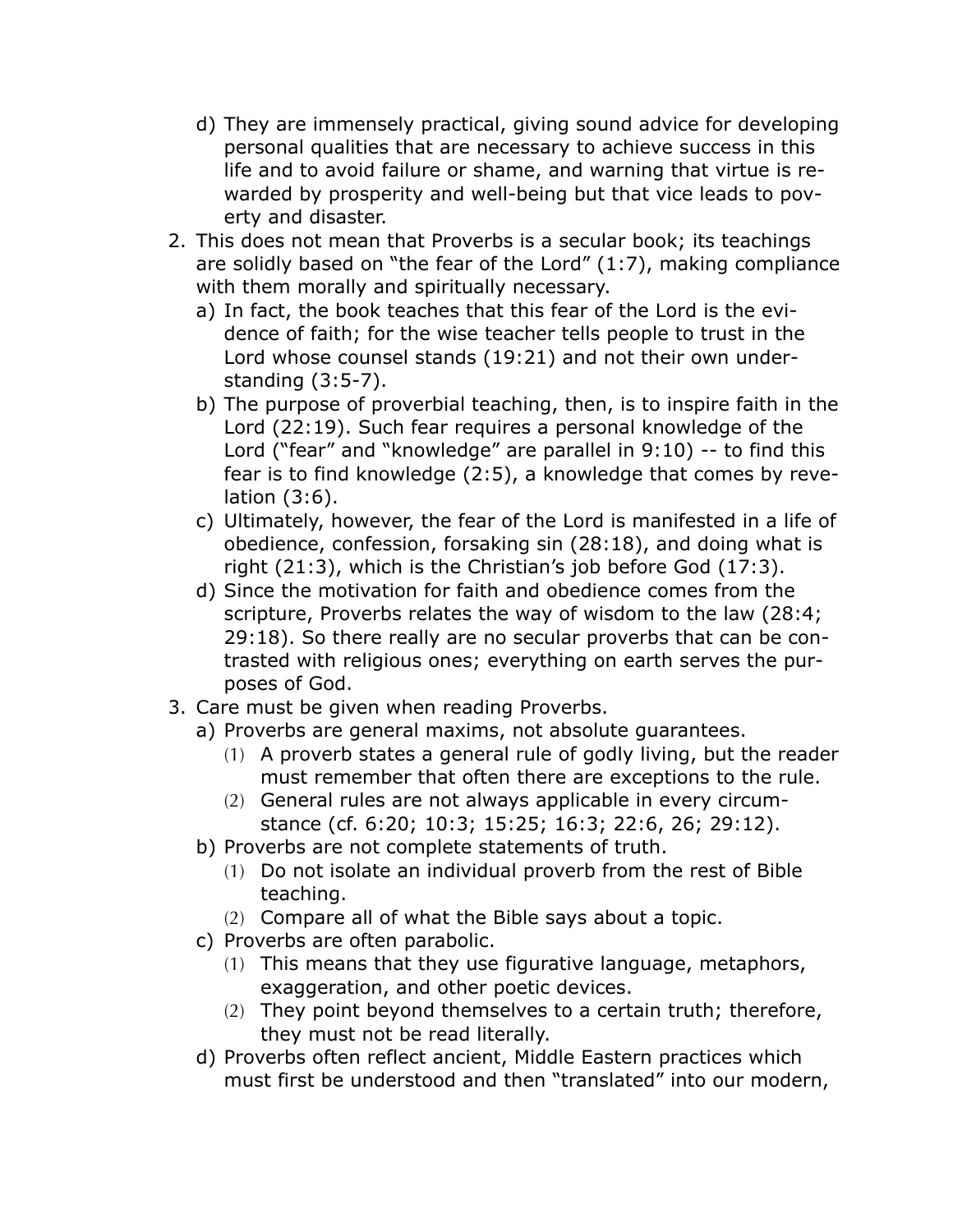- d) They are immensely practical, giving sound advice for developing personal qualities that are necessary to achieve success in this life and to avoid failure or shame, and warning that virtue is rewarded by prosperity and well-being but that vice leads to poverty and disaster.
- 2. This does not mean that Proverbs is a secular book; its teachings are solidly based on "the fear of the Lord" (1:7), making compliance with them morally and spiritually necessary.
	- a) In fact, the book teaches that this fear of the Lord is the evidence of faith; for the wise teacher tells people to trust in the Lord whose counsel stands (19:21) and not their own understanding (3:5-7).
	- b) The purpose of proverbial teaching, then, is to inspire faith in the Lord (22:19). Such fear requires a personal knowledge of the Lord ("fear" and "knowledge" are parallel in 9:10) -- to find this fear is to find knowledge (2:5), a knowledge that comes by revelation (3:6).
	- c) Ultimately, however, the fear of the Lord is manifested in a life of obedience, confession, forsaking sin (28:18), and doing what is right (21:3), which is the Christian's job before God (17:3).
	- d) Since the motivation for faith and obedience comes from the scripture, Proverbs relates the way of wisdom to the law (28:4; 29:18). So there really are no secular proverbs that can be contrasted with religious ones; everything on earth serves the purposes of God.
- 3. Care must be given when reading Proverbs.
	- a) Proverbs are general maxims, not absolute guarantees.
		- (1) A proverb states a general rule of godly living, but the reader must remember that often there are exceptions to the rule.
		- (2) General rules are not always applicable in every circumstance (cf. 6:20; 10:3; 15:25; 16:3; 22:6, 26; 29:12).
	- b) Proverbs are not complete statements of truth.
		- (1) Do not isolate an individual proverb from the rest of Bible teaching.
		- (2) Compare all of what the Bible says about a topic.
	- c) Proverbs are often parabolic.
		- (1) This means that they use figurative language, metaphors, exaggeration, and other poetic devices.
		- (2) They point beyond themselves to a certain truth; therefore, they must not be read literally.
	- d) Proverbs often reflect ancient, Middle Eastern practices which must first be understood and then "translated" into our modern,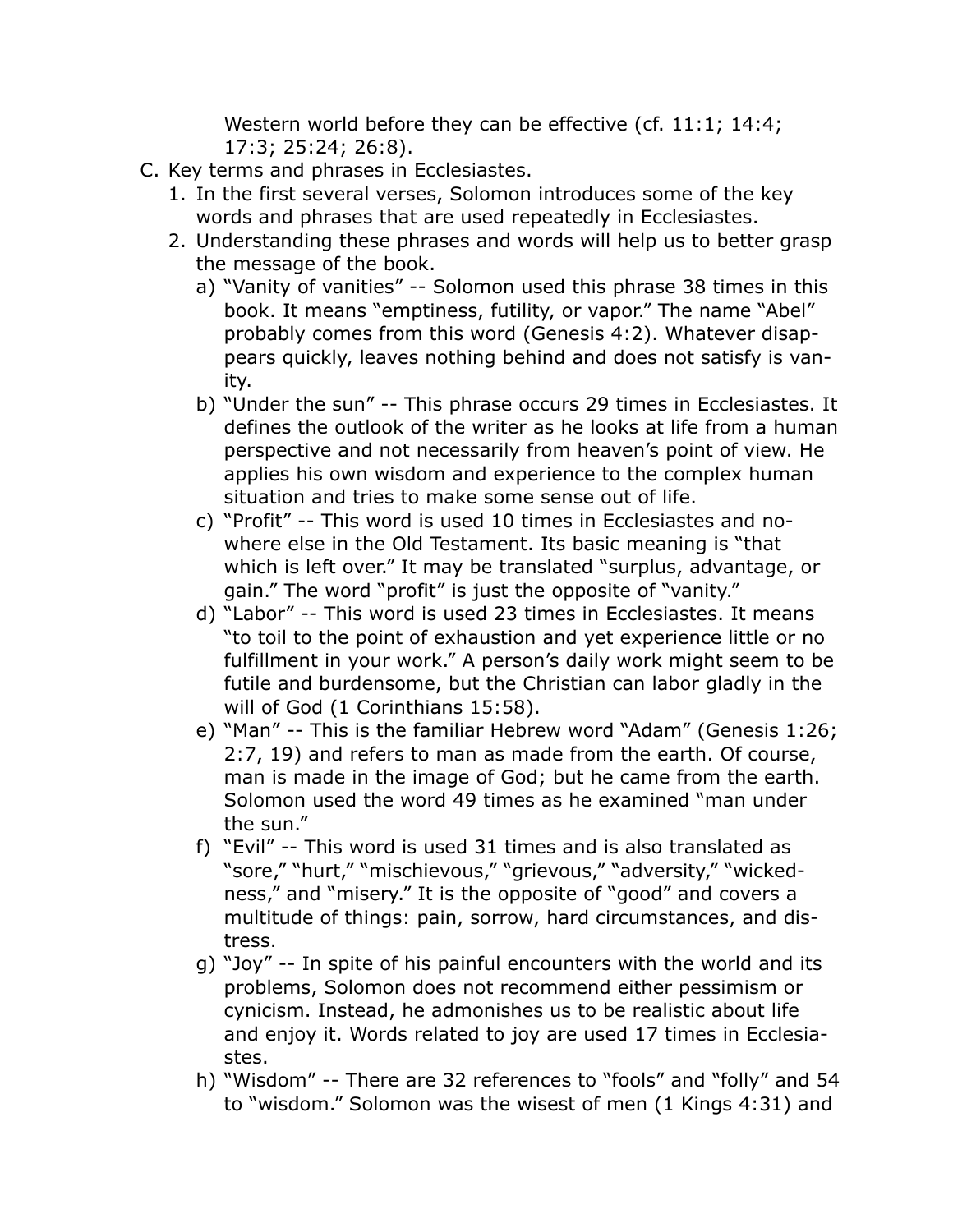Western world before they can be effective (cf. 11:1; 14:4; 17:3; 25:24; 26:8).

- C. Key terms and phrases in Ecclesiastes.
	- 1. In the first several verses, Solomon introduces some of the key words and phrases that are used repeatedly in Ecclesiastes.
	- 2. Understanding these phrases and words will help us to better grasp the message of the book.
		- a) "Vanity of vanities" -- Solomon used this phrase 38 times in this book. It means "emptiness, futility, or vapor." The name "Abel" probably comes from this word (Genesis 4:2). Whatever disappears quickly, leaves nothing behind and does not satisfy is vanity.
		- b) "Under the sun" -- This phrase occurs 29 times in Ecclesiastes. It defines the outlook of the writer as he looks at life from a human perspective and not necessarily from heaven's point of view. He applies his own wisdom and experience to the complex human situation and tries to make some sense out of life.
		- c) "Profit" -- This word is used 10 times in Ecclesiastes and nowhere else in the Old Testament. Its basic meaning is "that which is left over." It may be translated "surplus, advantage, or gain." The word "profit" is just the opposite of "vanity."
		- d) "Labor" -- This word is used 23 times in Ecclesiastes. It means "to toil to the point of exhaustion and yet experience little or no fulfillment in your work." A person's daily work might seem to be futile and burdensome, but the Christian can labor gladly in the will of God (1 Corinthians 15:58).
		- e) "Man" -- This is the familiar Hebrew word "Adam" (Genesis 1:26; 2:7, 19) and refers to man as made from the earth. Of course, man is made in the image of God; but he came from the earth. Solomon used the word 49 times as he examined "man under the sun."
		- f) "Evil" -- This word is used 31 times and is also translated as "sore," "hurt," "mischievous," "grievous," "adversity," "wickedness," and "misery." It is the opposite of "good" and covers a multitude of things: pain, sorrow, hard circumstances, and distress.
		- g) "Joy" -- In spite of his painful encounters with the world and its problems, Solomon does not recommend either pessimism or cynicism. Instead, he admonishes us to be realistic about life and enjoy it. Words related to joy are used 17 times in Ecclesiastes.
		- h) "Wisdom" -- There are 32 references to "fools" and "folly" and 54 to "wisdom." Solomon was the wisest of men (1 Kings 4:31) and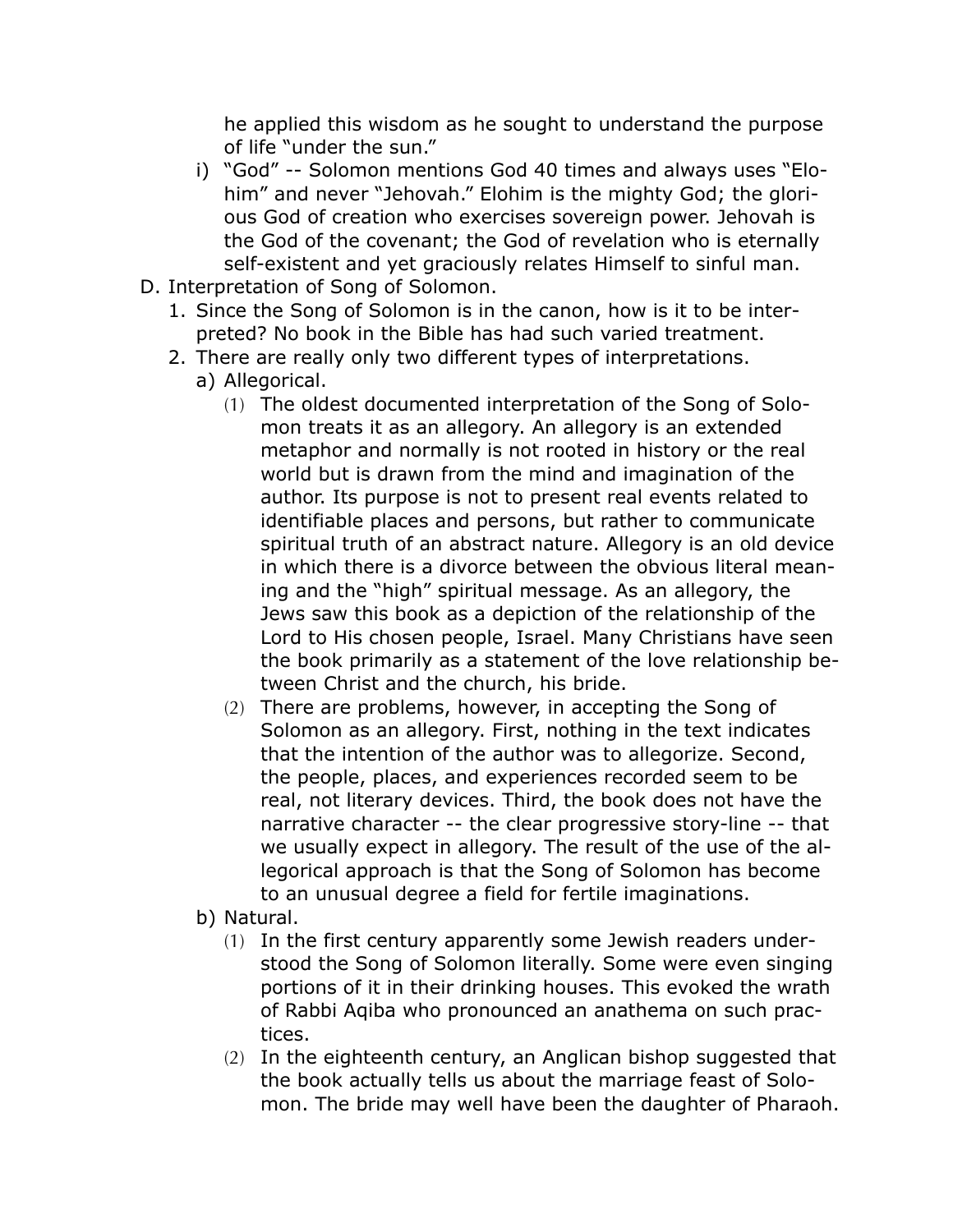he applied this wisdom as he sought to understand the purpose of life "under the sun."

- i) "God" -- Solomon mentions God 40 times and always uses "Elohim" and never "Jehovah." Elohim is the mighty God; the glorious God of creation who exercises sovereign power. Jehovah is the God of the covenant; the God of revelation who is eternally self-existent and yet graciously relates Himself to sinful man.
- D. Interpretation of Song of Solomon.
	- 1. Since the Song of Solomon is in the canon, how is it to be interpreted? No book in the Bible has had such varied treatment.
	- 2. There are really only two different types of interpretations.
		- a) Allegorical.
			- (1) The oldest documented interpretation of the Song of Solomon treats it as an allegory. An allegory is an extended metaphor and normally is not rooted in history or the real world but is drawn from the mind and imagination of the author. Its purpose is not to present real events related to identifiable places and persons, but rather to communicate spiritual truth of an abstract nature. Allegory is an old device in which there is a divorce between the obvious literal meaning and the "high" spiritual message. As an allegory, the Jews saw this book as a depiction of the relationship of the Lord to His chosen people, Israel. Many Christians have seen the book primarily as a statement of the love relationship between Christ and the church, his bride.
			- (2) There are problems, however, in accepting the Song of Solomon as an allegory. First, nothing in the text indicates that the intention of the author was to allegorize. Second, the people, places, and experiences recorded seem to be real, not literary devices. Third, the book does not have the narrative character -- the clear progressive story-line -- that we usually expect in allegory. The result of the use of the allegorical approach is that the Song of Solomon has become to an unusual degree a field for fertile imaginations.
		- b) Natural.
			- (1) In the first century apparently some Jewish readers understood the Song of Solomon literally. Some were even singing portions of it in their drinking houses. This evoked the wrath of Rabbi Aqiba who pronounced an anathema on such practices.
			- (2) In the eighteenth century, an Anglican bishop suggested that the book actually tells us about the marriage feast of Solomon. The bride may well have been the daughter of Pharaoh.